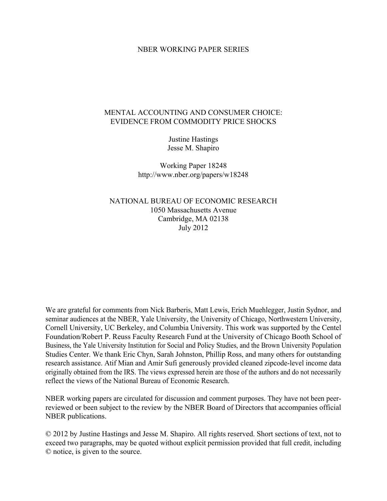### NBER WORKING PAPER SERIES

### MENTAL ACCOUNTING AND CONSUMER CHOICE: EVIDENCE FROM COMMODITY PRICE SHOCKS

Justine Hastings Jesse M. Shapiro

Working Paper 18248 http://www.nber.org/papers/w18248

NATIONAL BUREAU OF ECONOMIC RESEARCH 1050 Massachusetts Avenue Cambridge, MA 02138 July 2012

We are grateful for comments from Nick Barberis, Matt Lewis, Erich Muehlegger, Justin Sydnor, and seminar audiences at the NBER, Yale University, the University of Chicago, Northwestern University, Cornell University, UC Berkeley, and Columbia University. This work was supported by the Centel Foundation/Robert P. Reuss Faculty Research Fund at the University of Chicago Booth School of Business, the Yale University Institution for Social and Policy Studies, and the Brown University Population Studies Center. We thank Eric Chyn, Sarah Johnston, Phillip Ross, and many others for outstanding research assistance. Atif Mian and Amir Sufi generously provided cleaned zipcode-level income data originally obtained from the IRS. The views expressed herein are those of the authors and do not necessarily reflect the views of the National Bureau of Economic Research.

NBER working papers are circulated for discussion and comment purposes. They have not been peerreviewed or been subject to the review by the NBER Board of Directors that accompanies official NBER publications.

© 2012 by Justine Hastings and Jesse M. Shapiro. All rights reserved. Short sections of text, not to exceed two paragraphs, may be quoted without explicit permission provided that full credit, including © notice, is given to the source.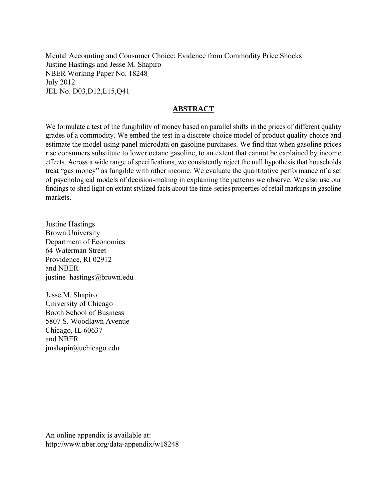Mental Accounting and Consumer Choice: Evidence from Commodity Price Shocks Justine Hastings and Jesse M. Shapiro NBER Working Paper No. 18248 July 2012 JEL No. D03,D12,L15,Q41

### **ABSTRACT**

We formulate a test of the fungibility of money based on parallel shifts in the prices of different quality grades of a commodity. We embed the test in a discrete-choice model of product quality choice and estimate the model using panel microdata on gasoline purchases. We find that when gasoline prices rise consumers substitute to lower octane gasoline, to an extent that cannot be explained by income effects. Across a wide range of specifications, we consistently reject the null hypothesis that households treat "gas money" as fungible with other income. We evaluate the quantitative performance of a set of psychological models of decision-making in explaining the patterns we observe. We also use our findings to shed light on extant stylized facts about the time-series properties of retail markups in gasoline markets.

Justine Hastings Brown University Department of Economics 64 Waterman Street Providence, RI 02912 and NBER justine\_hastings@brown.edu

Jesse M. Shapiro University of Chicago Booth School of Business 5807 S. Woodlawn Avenue Chicago, IL 60637 and NBER jmshapir@uchicago.edu

An online appendix is available at: http://www.nber.org/data-appendix/w18248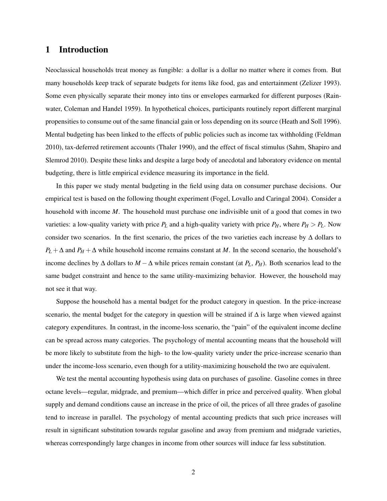# 1 Introduction

Neoclassical households treat money as fungible: a dollar is a dollar no matter where it comes from. But many households keep track of separate budgets for items like food, gas and entertainment (Zelizer 1993). Some even physically separate their money into tins or envelopes earmarked for different purposes (Rainwater, Coleman and Handel 1959). In hypothetical choices, participants routinely report different marginal propensities to consume out of the same financial gain or loss depending on its source (Heath and Soll 1996). Mental budgeting has been linked to the effects of public policies such as income tax withholding (Feldman 2010), tax-deferred retirement accounts (Thaler 1990), and the effect of fiscal stimulus (Sahm, Shapiro and Slemrod 2010). Despite these links and despite a large body of anecdotal and laboratory evidence on mental budgeting, there is little empirical evidence measuring its importance in the field.

In this paper we study mental budgeting in the field using data on consumer purchase decisions. Our empirical test is based on the following thought experiment (Fogel, Lovallo and Caringal 2004). Consider a household with income *M*. The household must purchase one indivisible unit of a good that comes in two varieties: a low-quality variety with price  $P_L$  and a high-quality variety with price  $P_H$ , where  $P_H > P_L$ . Now consider two scenarios. In the first scenario, the prices of the two varieties each increase by ∆ dollars to  $P_L + \Delta$  and  $P_H + \Delta$  while household income remains constant at *M*. In the second scenario, the household's income declines by ∆ dollars to *M* −∆ while prices remain constant (at *PL*, *PH*). Both scenarios lead to the same budget constraint and hence to the same utility-maximizing behavior. However, the household may not see it that way.

Suppose the household has a mental budget for the product category in question. In the price-increase scenario, the mental budget for the category in question will be strained if ∆ is large when viewed against category expenditures. In contrast, in the income-loss scenario, the "pain" of the equivalent income decline can be spread across many categories. The psychology of mental accounting means that the household will be more likely to substitute from the high- to the low-quality variety under the price-increase scenario than under the income-loss scenario, even though for a utility-maximizing household the two are equivalent.

We test the mental accounting hypothesis using data on purchases of gasoline. Gasoline comes in three octane levels—regular, midgrade, and premium—which differ in price and perceived quality. When global supply and demand conditions cause an increase in the price of oil, the prices of all three grades of gasoline tend to increase in parallel. The psychology of mental accounting predicts that such price increases will result in significant substitution towards regular gasoline and away from premium and midgrade varieties, whereas correspondingly large changes in income from other sources will induce far less substitution.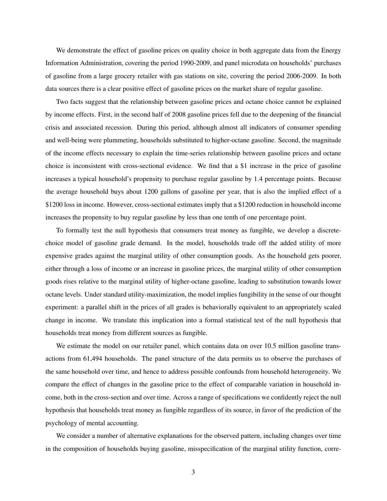We demonstrate the effect of gasoline prices on quality choice in both aggregate data from the Energy Information Administration, covering the period 1990-2009, and panel microdata on households' purchases of gasoline from a large grocery retailer with gas stations on site, covering the period 2006-2009. In both data sources there is a clear positive effect of gasoline prices on the market share of regular gasoline.

Two facts suggest that the relationship between gasoline prices and octane choice cannot be explained by income effects. First, in the second half of 2008 gasoline prices fell due to the deepening of the financial crisis and associated recession. During this period, although almost all indicators of consumer spending and well-being were plummeting, households substituted to higher-octane gasoline. Second, the magnitude of the income effects necessary to explain the time-series relationship between gasoline prices and octane choice is inconsistent with cross-sectional evidence. We find that a \$1 increase in the price of gasoline increases a typical household's propensity to purchase regular gasoline by 1.4 percentage points. Because the average household buys about 1200 gallons of gasoline per year, that is also the implied effect of a \$1200 loss in income. However, cross-sectional estimates imply that a \$1200 reduction in household income increases the propensity to buy regular gasoline by less than one tenth of one percentage point.

To formally test the null hypothesis that consumers treat money as fungible, we develop a discretechoice model of gasoline grade demand. In the model, households trade off the added utility of more expensive grades against the marginal utility of other consumption goods. As the household gets poorer, either through a loss of income or an increase in gasoline prices, the marginal utility of other consumption goods rises relative to the marginal utility of higher-octane gasoline, leading to substitution towards lower octane levels. Under standard utility-maximization, the model implies fungibility in the sense of our thought experiment: a parallel shift in the prices of all grades is behaviorally equivalent to an appropriately scaled change in income. We translate this implication into a formal statistical test of the null hypothesis that households treat money from different sources as fungible.

We estimate the model on our retailer panel, which contains data on over 10.5 million gasoline transactions from 61,494 households. The panel structure of the data permits us to observe the purchases of the same household over time, and hence to address possible confounds from household heterogeneity. We compare the effect of changes in the gasoline price to the effect of comparable variation in household income, both in the cross-section and over time. Across a range of specifications we confidently reject the null hypothesis that households treat money as fungible regardless of its source, in favor of the prediction of the psychology of mental accounting.

We consider a number of alternative explanations for the observed pattern, including changes over time in the composition of households buying gasoline, misspecification of the marginal utility function, corre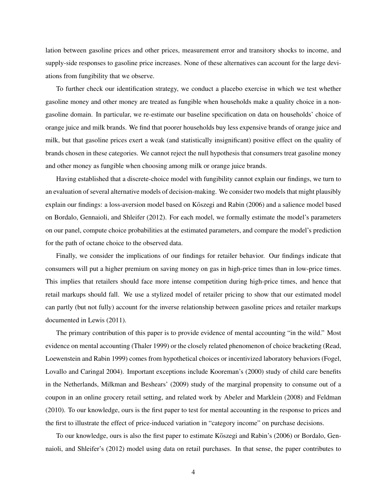lation between gasoline prices and other prices, measurement error and transitory shocks to income, and supply-side responses to gasoline price increases. None of these alternatives can account for the large deviations from fungibility that we observe.

To further check our identification strategy, we conduct a placebo exercise in which we test whether gasoline money and other money are treated as fungible when households make a quality choice in a nongasoline domain. In particular, we re-estimate our baseline specification on data on households' choice of orange juice and milk brands. We find that poorer households buy less expensive brands of orange juice and milk, but that gasoline prices exert a weak (and statistically insignificant) positive effect on the quality of brands chosen in these categories. We cannot reject the null hypothesis that consumers treat gasoline money and other money as fungible when choosing among milk or orange juice brands.

Having established that a discrete-choice model with fungibility cannot explain our findings, we turn to an evaluation of several alternative models of decision-making. We consider two models that might plausibly explain our findings: a loss-aversion model based on Köszegi and Rabin (2006) and a salience model based on Bordalo, Gennaioli, and Shleifer (2012). For each model, we formally estimate the model's parameters on our panel, compute choice probabilities at the estimated parameters, and compare the model's prediction for the path of octane choice to the observed data.

Finally, we consider the implications of our findings for retailer behavior. Our findings indicate that consumers will put a higher premium on saving money on gas in high-price times than in low-price times. This implies that retailers should face more intense competition during high-price times, and hence that retail markups should fall. We use a stylized model of retailer pricing to show that our estimated model can partly (but not fully) account for the inverse relationship between gasoline prices and retailer markups documented in Lewis (2011).

The primary contribution of this paper is to provide evidence of mental accounting "in the wild." Most evidence on mental accounting (Thaler 1999) or the closely related phenomenon of choice bracketing (Read, Loewenstein and Rabin 1999) comes from hypothetical choices or incentivized laboratory behaviors (Fogel, Lovallo and Caringal 2004). Important exceptions include Kooreman's (2000) study of child care benefits in the Netherlands, Milkman and Beshears' (2009) study of the marginal propensity to consume out of a coupon in an online grocery retail setting, and related work by Abeler and Marklein (2008) and Feldman (2010). To our knowledge, ours is the first paper to test for mental accounting in the response to prices and the first to illustrate the effect of price-induced variation in "category income" on purchase decisions.

To our knowledge, ours is also the first paper to estimate Köszegi and Rabin's (2006) or Bordalo, Gennaioli, and Shleifer's (2012) model using data on retail purchases. In that sense, the paper contributes to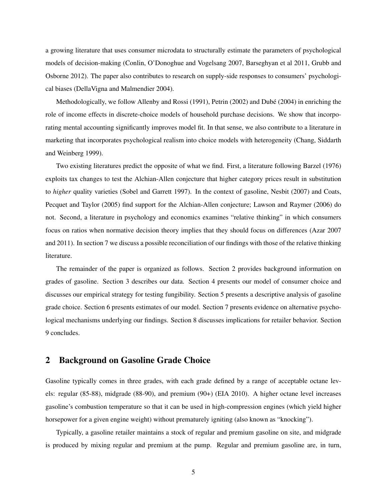a growing literature that uses consumer microdata to structurally estimate the parameters of psychological models of decision-making (Conlin, O'Donoghue and Vogelsang 2007, Barseghyan et al 2011, Grubb and Osborne 2012). The paper also contributes to research on supply-side responses to consumers' psychological biases (DellaVigna and Malmendier 2004).

Methodologically, we follow Allenby and Rossi (1991), Petrin (2002) and Dubé (2004) in enriching the role of income effects in discrete-choice models of household purchase decisions. We show that incorporating mental accounting significantly improves model fit. In that sense, we also contribute to a literature in marketing that incorporates psychological realism into choice models with heterogeneity (Chang, Siddarth and Weinberg 1999).

Two existing literatures predict the opposite of what we find. First, a literature following Barzel (1976) exploits tax changes to test the Alchian-Allen conjecture that higher category prices result in substitution to *higher* quality varieties (Sobel and Garrett 1997). In the context of gasoline, Nesbit (2007) and Coats, Pecquet and Taylor (2005) find support for the Alchian-Allen conjecture; Lawson and Raymer (2006) do not. Second, a literature in psychology and economics examines "relative thinking" in which consumers focus on ratios when normative decision theory implies that they should focus on differences (Azar 2007 and 2011). In section 7 we discuss a possible reconciliation of our findings with those of the relative thinking literature.

The remainder of the paper is organized as follows. Section 2 provides background information on grades of gasoline. Section 3 describes our data. Section 4 presents our model of consumer choice and discusses our empirical strategy for testing fungibility. Section 5 presents a descriptive analysis of gasoline grade choice. Section 6 presents estimates of our model. Section 7 presents evidence on alternative psychological mechanisms underlying our findings. Section 8 discusses implications for retailer behavior. Section 9 concludes.

### 2 Background on Gasoline Grade Choice

Gasoline typically comes in three grades, with each grade defined by a range of acceptable octane levels: regular (85-88), midgrade (88-90), and premium (90+) (EIA 2010). A higher octane level increases gasoline's combustion temperature so that it can be used in high-compression engines (which yield higher horsepower for a given engine weight) without prematurely igniting (also known as "knocking").

Typically, a gasoline retailer maintains a stock of regular and premium gasoline on site, and midgrade is produced by mixing regular and premium at the pump. Regular and premium gasoline are, in turn,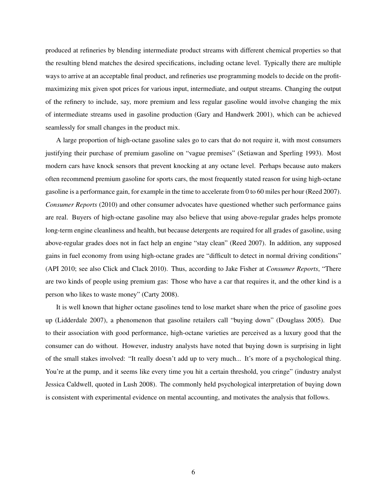produced at refineries by blending intermediate product streams with different chemical properties so that the resulting blend matches the desired specifications, including octane level. Typically there are multiple ways to arrive at an acceptable final product, and refineries use programming models to decide on the profitmaximizing mix given spot prices for various input, intermediate, and output streams. Changing the output of the refinery to include, say, more premium and less regular gasoline would involve changing the mix of intermediate streams used in gasoline production (Gary and Handwerk 2001), which can be achieved seamlessly for small changes in the product mix.

A large proportion of high-octane gasoline sales go to cars that do not require it, with most consumers justifying their purchase of premium gasoline on "vague premises" (Setiawan and Sperling 1993). Most modern cars have knock sensors that prevent knocking at any octane level. Perhaps because auto makers often recommend premium gasoline for sports cars, the most frequently stated reason for using high-octane gasoline is a performance gain, for example in the time to accelerate from 0 to 60 miles per hour (Reed 2007). *Consumer Reports* (2010) and other consumer advocates have questioned whether such performance gains are real. Buyers of high-octane gasoline may also believe that using above-regular grades helps promote long-term engine cleanliness and health, but because detergents are required for all grades of gasoline, using above-regular grades does not in fact help an engine "stay clean" (Reed 2007). In addition, any supposed gains in fuel economy from using high-octane grades are "difficult to detect in normal driving conditions" (API 2010; see also Click and Clack 2010). Thus, according to Jake Fisher at *Consumer Reports*, "There are two kinds of people using premium gas: Those who have a car that requires it, and the other kind is a person who likes to waste money" (Carty 2008).

It is well known that higher octane gasolines tend to lose market share when the price of gasoline goes up (Lidderdale 2007), a phenomenon that gasoline retailers call "buying down" (Douglass 2005). Due to their association with good performance, high-octane varieties are perceived as a luxury good that the consumer can do without. However, industry analysts have noted that buying down is surprising in light of the small stakes involved: "It really doesn't add up to very much... It's more of a psychological thing. You're at the pump, and it seems like every time you hit a certain threshold, you cringe" (industry analyst Jessica Caldwell, quoted in Lush 2008). The commonly held psychological interpretation of buying down is consistent with experimental evidence on mental accounting, and motivates the analysis that follows.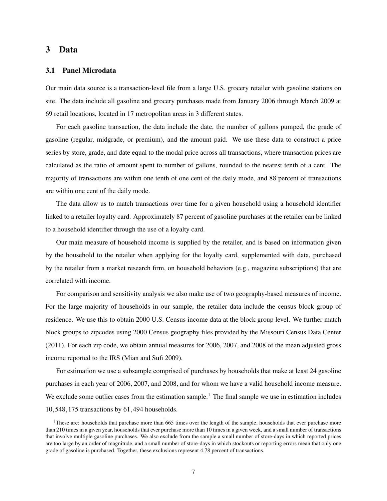### 3 Data

#### 3.1 Panel Microdata

Our main data source is a transaction-level file from a large U.S. grocery retailer with gasoline stations on site. The data include all gasoline and grocery purchases made from January 2006 through March 2009 at 69 retail locations, located in 17 metropolitan areas in 3 different states.

For each gasoline transaction, the data include the date, the number of gallons pumped, the grade of gasoline (regular, midgrade, or premium), and the amount paid. We use these data to construct a price series by store, grade, and date equal to the modal price across all transactions, where transaction prices are calculated as the ratio of amount spent to number of gallons, rounded to the nearest tenth of a cent. The majority of transactions are within one tenth of one cent of the daily mode, and 88 percent of transactions are within one cent of the daily mode.

The data allow us to match transactions over time for a given household using a household identifier linked to a retailer loyalty card. Approximately 87 percent of gasoline purchases at the retailer can be linked to a household identifier through the use of a loyalty card.

Our main measure of household income is supplied by the retailer, and is based on information given by the household to the retailer when applying for the loyalty card, supplemented with data, purchased by the retailer from a market research firm, on household behaviors (e.g., magazine subscriptions) that are correlated with income.

For comparison and sensitivity analysis we also make use of two geography-based measures of income. For the large majority of households in our sample, the retailer data include the census block group of residence. We use this to obtain 2000 U.S. Census income data at the block group level. We further match block groups to zipcodes using 2000 Census geography files provided by the Missouri Census Data Center (2011). For each zip code, we obtain annual measures for 2006, 2007, and 2008 of the mean adjusted gross income reported to the IRS (Mian and Sufi 2009).

For estimation we use a subsample comprised of purchases by households that make at least 24 gasoline purchases in each year of 2006, 2007, and 2008, and for whom we have a valid household income measure. We exclude some outlier cases from the estimation sample.<sup>1</sup> The final sample we use in estimation includes 10,548,175 transactions by 61,494 households.

<sup>&</sup>lt;sup>1</sup>These are: households that purchase more than 665 times over the length of the sample, households that ever purchase more than 210 times in a given year, households that ever purchase more than 10 times in a given week, and a small number of transactions that involve multiple gasoline purchases. We also exclude from the sample a small number of store-days in which reported prices are too large by an order of magnitude, and a small number of store-days in which stockouts or reporting errors mean that only one grade of gasoline is purchased. Together, these exclusions represent 4.78 percent of transactions.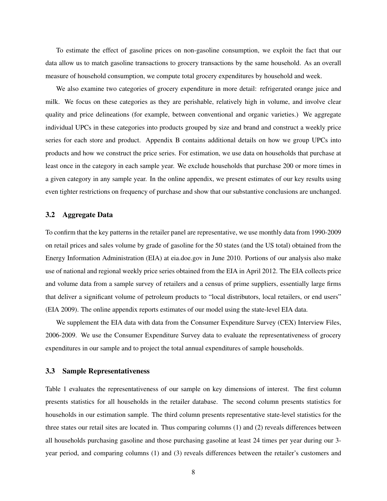To estimate the effect of gasoline prices on non-gasoline consumption, we exploit the fact that our data allow us to match gasoline transactions to grocery transactions by the same household. As an overall measure of household consumption, we compute total grocery expenditures by household and week.

We also examine two categories of grocery expenditure in more detail: refrigerated orange juice and milk. We focus on these categories as they are perishable, relatively high in volume, and involve clear quality and price delineations (for example, between conventional and organic varieties.) We aggregate individual UPCs in these categories into products grouped by size and brand and construct a weekly price series for each store and product. Appendix B contains additional details on how we group UPCs into products and how we construct the price series. For estimation, we use data on households that purchase at least once in the category in each sample year. We exclude households that purchase 200 or more times in a given category in any sample year. In the online appendix, we present estimates of our key results using even tighter restrictions on frequency of purchase and show that our substantive conclusions are unchanged.

#### 3.2 Aggregate Data

To confirm that the key patterns in the retailer panel are representative, we use monthly data from 1990-2009 on retail prices and sales volume by grade of gasoline for the 50 states (and the US total) obtained from the Energy Information Administration (EIA) at eia.doe.gov in June 2010. Portions of our analysis also make use of national and regional weekly price series obtained from the EIA in April 2012. The EIA collects price and volume data from a sample survey of retailers and a census of prime suppliers, essentially large firms that deliver a significant volume of petroleum products to "local distributors, local retailers, or end users" (EIA 2009). The online appendix reports estimates of our model using the state-level EIA data.

We supplement the EIA data with data from the Consumer Expenditure Survey (CEX) Interview Files, 2006-2009. We use the Consumer Expenditure Survey data to evaluate the representativeness of grocery expenditures in our sample and to project the total annual expenditures of sample households.

#### 3.3 Sample Representativeness

Table 1 evaluates the representativeness of our sample on key dimensions of interest. The first column presents statistics for all households in the retailer database. The second column presents statistics for households in our estimation sample. The third column presents representative state-level statistics for the three states our retail sites are located in. Thus comparing columns (1) and (2) reveals differences between all households purchasing gasoline and those purchasing gasoline at least 24 times per year during our 3 year period, and comparing columns (1) and (3) reveals differences between the retailer's customers and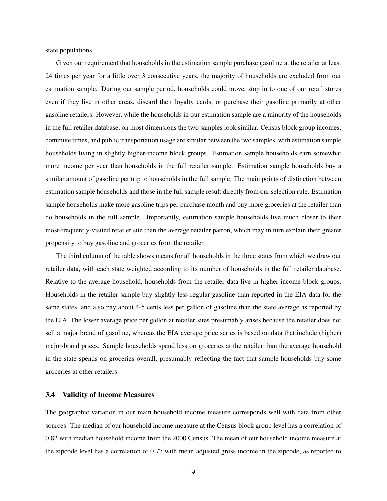state populations.

Given our requirement that households in the estimation sample purchase gasoline at the retailer at least 24 times per year for a little over 3 consecutive years, the majority of households are excluded from our estimation sample. During our sample period, households could move, stop in to one of our retail stores even if they live in other areas, discard their loyalty cards, or purchase their gasoline primarily at other gasoline retailers. However, while the households in our estimation sample are a minority of the households in the full retailer database, on most dimensions the two samples look similar. Census block group incomes, commute times, and public transportation usage are similar between the two samples, with estimation sample households living in slightly higher-income block groups. Estimation sample households earn somewhat more income per year than households in the full retailer sample. Estimation sample households buy a similar amount of gasoline per trip to households in the full sample. The main points of distinction between estimation sample households and those in the full sample result directly from our selection rule. Estimation sample households make more gasoline trips per purchase month and buy more groceries at the retailer than do households in the full sample. Importantly, estimation sample households live much closer to their most-frequently-visited retailer site than the average retailer patron, which may in turn explain their greater propensity to buy gasoline and groceries from the retailer.

The third column of the table shows means for all households in the three states from which we draw our retailer data, with each state weighted according to its number of households in the full retailer database. Relative to the average household, households from the retailer data live in higher-income block groups. Households in the retailer sample buy slightly less regular gasoline than reported in the EIA data for the same states, and also pay about 4-5 cents less per gallon of gasoline than the state average as reported by the EIA. The lower average price per gallon at retailer sites presumably arises because the retailer does not sell a major brand of gasoline, whereas the EIA average price series is based on data that include (higher) major-brand prices. Sample households spend less on groceries at the retailer than the average household in the state spends on groceries overall, presumably reflecting the fact that sample households buy some groceries at other retailers.

### 3.4 Validity of Income Measures

The geographic variation in our main household income measure corresponds well with data from other sources. The median of our household income measure at the Census block group level has a correlation of 0.82 with median household income from the 2000 Census. The mean of our household income measure at the zipcode level has a correlation of 0.77 with mean adjusted gross income in the zipcode, as reported to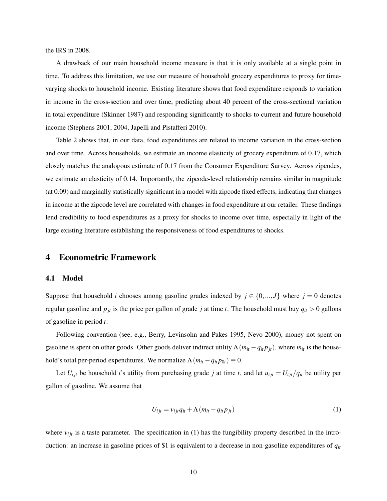the IRS in 2008.

A drawback of our main household income measure is that it is only available at a single point in time. To address this limitation, we use our measure of household grocery expenditures to proxy for timevarying shocks to household income. Existing literature shows that food expenditure responds to variation in income in the cross-section and over time, predicting about 40 percent of the cross-sectional variation in total expenditure (Skinner 1987) and responding significantly to shocks to current and future household income (Stephens 2001, 2004, Japelli and Pistafferi 2010).

Table 2 shows that, in our data, food expenditures are related to income variation in the cross-section and over time. Across households, we estimate an income elasticity of grocery expenditure of 0.17, which closely matches the analogous estimate of 0.17 from the Consumer Expenditure Survey. Across zipcodes, we estimate an elasticity of 0.14. Importantly, the zipcode-level relationship remains similar in magnitude (at 0.09) and marginally statistically significant in a model with zipcode fixed effects, indicating that changes in income at the zipcode level are correlated with changes in food expenditure at our retailer. These findings lend credibility to food expenditures as a proxy for shocks to income over time, especially in light of the large existing literature establishing the responsiveness of food expenditures to shocks.

### 4 Econometric Framework

#### 4.1 Model

Suppose that household *i* chooses among gasoline grades indexed by  $j \in \{0, ..., J\}$  where  $j = 0$  denotes regular gasoline and  $p_{jt}$  is the price per gallon of grade *j* at time *t*. The household must buy  $q_{it} > 0$  gallons of gasoline in period *t*.

Following convention (see, e.g., Berry, Levinsohn and Pakes 1995, Nevo 2000), money not spent on gasoline is spent on other goods. Other goods deliver indirect utility  $\Lambda(m_{it} - q_{it} p_{jt})$ , where  $m_{it}$  is the household's total per-period expenditures. We normalize  $\Lambda(m_{it} - q_{it} p_{0t}) \equiv 0$ .

Let  $U_{ijt}$  be household *i*'s utility from purchasing grade *j* at time *t*, and let  $u_{ijt} = U_{ijt}/q_{it}$  be utility per gallon of gasoline. We assume that

$$
U_{ijt} = v_{ijt}q_{it} + \Lambda(m_{it} - q_{it}p_{jt})
$$
\n(1)

where  $v_{ijt}$  is a taste parameter. The specification in (1) has the fungibility property described in the introduction: an increase in gasoline prices of \$1 is equivalent to a decrease in non-gasoline expenditures of *qit*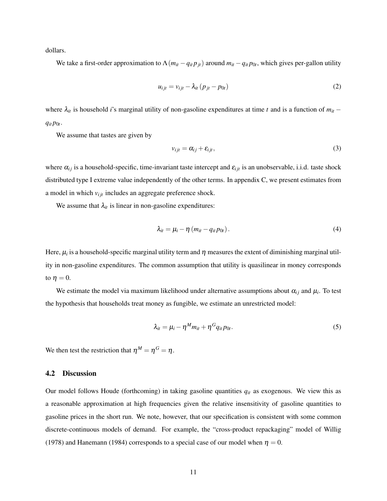dollars.

We take a first-order approximation to  $\Lambda(m_{it} - q_{it} p_{jt})$  around  $m_{it} - q_{it} p_{0t}$ , which gives per-gallon utility

$$
u_{ijt} = v_{ijt} - \lambda_{it} \left( p_{jt} - p_{0t} \right) \tag{2}
$$

where  $\lambda_{it}$  is household *i*'s marginal utility of non-gasoline expenditures at time *t* and is a function of  $m_{it}$  −  $q_{it} p_{0t}$ .

We assume that tastes are given by

$$
v_{ijt} = \alpha_{ij} + \varepsilon_{ijt},\tag{3}
$$

where  $\alpha_{ij}$  is a household-specific, time-invariant taste intercept and  $\varepsilon_{ijt}$  is an unobservable, i.i.d. taste shock distributed type I extreme value independently of the other terms. In appendix C, we present estimates from a model in which  $v_{ijt}$  includes an aggregate preference shock.

We assume that  $\lambda_{it}$  is linear in non-gasoline expenditures:

$$
\lambda_{it} = \mu_i - \eta \left( m_{it} - q_{it} p_{0t} \right). \tag{4}
$$

Here,  $\mu_i$  is a household-specific marginal utility term and  $\eta$  measures the extent of diminishing marginal utility in non-gasoline expenditures. The common assumption that utility is quasilinear in money corresponds to  $\eta = 0$ .

We estimate the model via maximum likelihood under alternative assumptions about  $\alpha_{ij}$  and  $\mu_i$ . To test the hypothesis that households treat money as fungible, we estimate an unrestricted model:

$$
\lambda_{it} = \mu_i - \eta^M m_{it} + \eta^G q_{it} p_{0t}.
$$
\n<sup>(5)</sup>

We then test the restriction that  $\eta^M = \eta^G = \eta$ .

#### 4.2 Discussion

Our model follows Houde (forthcoming) in taking gasoline quantities  $q_{it}$  as exogenous. We view this as a reasonable approximation at high frequencies given the relative insensitivity of gasoline quantities to gasoline prices in the short run. We note, however, that our specification is consistent with some common discrete-continuous models of demand. For example, the "cross-product repackaging" model of Willig (1978) and Hanemann (1984) corresponds to a special case of our model when  $\eta = 0$ .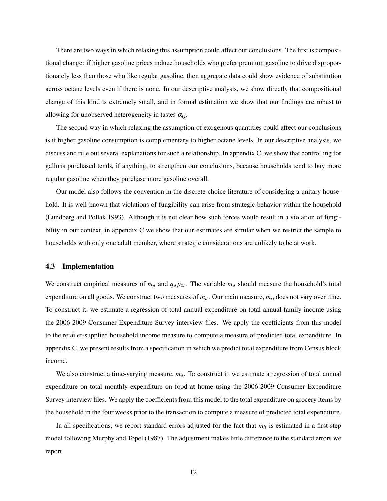There are two ways in which relaxing this assumption could affect our conclusions. The first is compositional change: if higher gasoline prices induce households who prefer premium gasoline to drive disproportionately less than those who like regular gasoline, then aggregate data could show evidence of substitution across octane levels even if there is none. In our descriptive analysis, we show directly that compositional change of this kind is extremely small, and in formal estimation we show that our findings are robust to allowing for unobserved heterogeneity in tastes  $\alpha_{ij}$ .

The second way in which relaxing the assumption of exogenous quantities could affect our conclusions is if higher gasoline consumption is complementary to higher octane levels. In our descriptive analysis, we discuss and rule out several explanations for such a relationship. In appendix C, we show that controlling for gallons purchased tends, if anything, to strengthen our conclusions, because households tend to buy more regular gasoline when they purchase more gasoline overall.

Our model also follows the convention in the discrete-choice literature of considering a unitary household. It is well-known that violations of fungibility can arise from strategic behavior within the household (Lundberg and Pollak 1993). Although it is not clear how such forces would result in a violation of fungibility in our context, in appendix C we show that our estimates are similar when we restrict the sample to households with only one adult member, where strategic considerations are unlikely to be at work.

#### 4.3 Implementation

We construct empirical measures of  $m_{it}$  and  $q_{it} p_{0t}$ . The variable  $m_{it}$  should measure the household's total expenditure on all goods. We construct two measures of *mit*. Our main measure, *m<sup>i</sup>* , does not vary over time. To construct it, we estimate a regression of total annual expenditure on total annual family income using the 2006-2009 Consumer Expenditure Survey interview files. We apply the coefficients from this model to the retailer-supplied household income measure to compute a measure of predicted total expenditure. In appendix C, we present results from a specification in which we predict total expenditure from Census block income.

We also construct a time-varying measure,  $m_{it}$ . To construct it, we estimate a regression of total annual expenditure on total monthly expenditure on food at home using the 2006-2009 Consumer Expenditure Survey interview files. We apply the coefficients from this model to the total expenditure on grocery items by the household in the four weeks prior to the transaction to compute a measure of predicted total expenditure.

In all specifications, we report standard errors adjusted for the fact that  $m<sub>it</sub>$  is estimated in a first-step model following Murphy and Topel (1987). The adjustment makes little difference to the standard errors we report.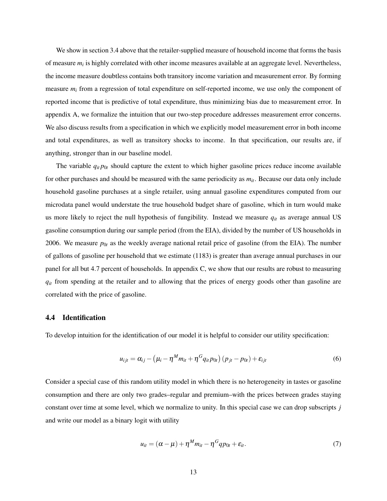We show in section 3.4 above that the retailer-supplied measure of household income that forms the basis of measure *m<sup>i</sup>* is highly correlated with other income measures available at an aggregate level. Nevertheless, the income measure doubtless contains both transitory income variation and measurement error. By forming measure  $m_i$  from a regression of total expenditure on self-reported income, we use only the component of reported income that is predictive of total expenditure, thus minimizing bias due to measurement error. In appendix A, we formalize the intuition that our two-step procedure addresses measurement error concerns. We also discuss results from a specification in which we explicitly model measurement error in both income and total expenditures, as well as transitory shocks to income. In that specification, our results are, if anything, stronger than in our baseline model.

The variable  $q_{it} p_{0t}$  should capture the extent to which higher gasoline prices reduce income available for other purchases and should be measured with the same periodicity as *mit*. Because our data only include household gasoline purchases at a single retailer, using annual gasoline expenditures computed from our microdata panel would understate the true household budget share of gasoline, which in turn would make us more likely to reject the null hypothesis of fungibility. Instead we measure *qit* as average annual US gasoline consumption during our sample period (from the EIA), divided by the number of US households in 2006. We measure  $p_{0t}$  as the weekly average national retail price of gasoline (from the EIA). The number of gallons of gasoline per household that we estimate (1183) is greater than average annual purchases in our panel for all but 4.7 percent of households. In appendix C, we show that our results are robust to measuring *qit* from spending at the retailer and to allowing that the prices of energy goods other than gasoline are correlated with the price of gasoline.

#### 4.4 Identification

To develop intuition for the identification of our model it is helpful to consider our utility specification:

$$
u_{ijt} = \alpha_{ij} - (\mu_i - \eta^M m_{it} + \eta^G q_{it} p_{0t}) (p_{jt} - p_{0t}) + \varepsilon_{ijt}
$$
 (6)

Consider a special case of this random utility model in which there is no heterogeneity in tastes or gasoline consumption and there are only two grades–regular and premium–with the prices between grades staying constant over time at some level, which we normalize to unity. In this special case we can drop subscripts *j* and write our model as a binary logit with utility

$$
u_{it} = (\alpha - \mu) + \eta^M m_{it} - \eta^G q p_{0t} + \varepsilon_{it}.
$$
\n(7)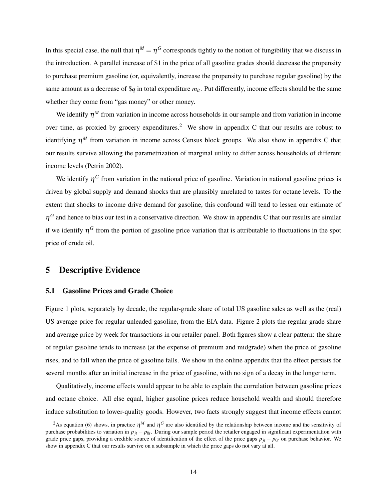In this special case, the null that  $\eta^M=\eta^G$  corresponds tightly to the notion of fungibility that we discuss in the introduction. A parallel increase of \$1 in the price of all gasoline grades should decrease the propensity to purchase premium gasoline (or, equivalently, increase the propensity to purchase regular gasoline) by the same amount as a decrease of  $\mathcal{G}_q$  in total expenditure  $m_i$ . Put differently, income effects should be the same whether they come from "gas money" or other money.

We identify η *<sup>M</sup>* from variation in income across households in our sample and from variation in income over time, as proxied by grocery expenditures.<sup>2</sup> We show in appendix C that our results are robust to identifying  $\eta^M$  from variation in income across Census block groups. We also show in appendix C that our results survive allowing the parametrization of marginal utility to differ across households of different income levels (Petrin 2002).

We identify  $η<sup>G</sup>$  from variation in the national price of gasoline. Variation in national gasoline prices is driven by global supply and demand shocks that are plausibly unrelated to tastes for octane levels. To the extent that shocks to income drive demand for gasoline, this confound will tend to lessen our estimate of  $\eta^G$  and hence to bias our test in a conservative direction. We show in appendix C that our results are similar if we identify  $\eta^G$  from the portion of gasoline price variation that is attributable to fluctuations in the spot price of crude oil.

# 5 Descriptive Evidence

#### 5.1 Gasoline Prices and Grade Choice

Figure 1 plots, separately by decade, the regular-grade share of total US gasoline sales as well as the (real) US average price for regular unleaded gasoline, from the EIA data. Figure 2 plots the regular-grade share and average price by week for transactions in our retailer panel. Both figures show a clear pattern: the share of regular gasoline tends to increase (at the expense of premium and midgrade) when the price of gasoline rises, and to fall when the price of gasoline falls. We show in the online appendix that the effect persists for several months after an initial increase in the price of gasoline, with no sign of a decay in the longer term.

Qualitatively, income effects would appear to be able to explain the correlation between gasoline prices and octane choice. All else equal, higher gasoline prices reduce household wealth and should therefore induce substitution to lower-quality goods. However, two facts strongly suggest that income effects cannot

<sup>&</sup>lt;sup>2</sup>As equation (6) shows, in practice  $\eta^M$  and  $\eta^G$  are also identified by the relationship between income and the sensitivity of purchase probabilities to variation in  $p_{jt} - p_{0t}$ . During our sample period the retailer engaged in significant experimentation with grade price gaps, providing a credible source of identification of the effect of the price gaps  $p_{it} - p_{0t}$  on purchase behavior. We show in appendix C that our results survive on a subsample in which the price gaps do not vary at all.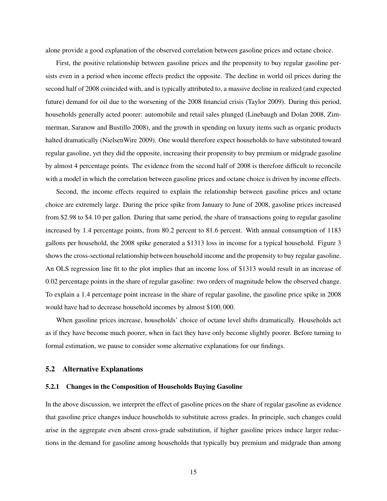alone provide a good explanation of the observed correlation between gasoline prices and octane choice.

First, the positive relationship between gasoline prices and the propensity to buy regular gasoline persists even in a period when income effects predict the opposite. The decline in world oil prices during the second half of 2008 coincided with, and is typically attributed to, a massive decline in realized (and expected future) demand for oil due to the worsening of the 2008 financial crisis (Taylor 2009). During this period, households generally acted poorer: automobile and retail sales plunged (Linebaugh and Dolan 2008, Zimmerman, Saranow and Bustillo 2008), and the growth in spending on luxury items such as organic products halted dramatically (NielsenWire 2009). One would therefore expect households to have substituted toward regular gasoline, yet they did the opposite, increasing their propensity to buy premium or midgrade gasoline by almost 4 percentage points. The evidence from the second half of 2008 is therefore difficult to reconcile with a model in which the correlation between gasoline prices and octane choice is driven by income effects.

Second, the income effects required to explain the relationship between gasoline prices and octane choice are extremely large. During the price spike from January to June of 2008, gasoline prices increased from \$2.98 to \$4.10 per gallon. During that same period, the share of transactions going to regular gasoline increased by 1.4 percentage points, from 80.2 percent to 81.6 percent. With annual consumption of 1183 gallons per household, the 2008 spike generated a \$1313 loss in income for a typical household. Figure 3 shows the cross-sectional relationship between household income and the propensity to buy regular gasoline. An OLS regression line fit to the plot implies that an income loss of \$1313 would result in an increase of 0.02 percentage points in the share of regular gasoline: two orders of magnitude below the observed change. To explain a 1.4 percentage point increase in the share of regular gasoline, the gasoline price spike in 2008 would have had to decrease household incomes by almost \$100,000.

When gasoline prices increase, households' choice of octane level shifts dramatically. Households act as if they have become much poorer, when in fact they have only become slightly poorer. Before turning to formal estimation, we pause to consider some alternative explanations for our findings.

#### 5.2 Alternative Explanations

#### 5.2.1 Changes in the Composition of Households Buying Gasoline

In the above discussion, we interpret the effect of gasoline prices on the share of regular gasoline as evidence that gasoline price changes induce households to substitute across grades. In principle, such changes could arise in the aggregate even absent cross-grade substitution, if higher gasoline prices induce larger reductions in the demand for gasoline among households that typically buy premium and midgrade than among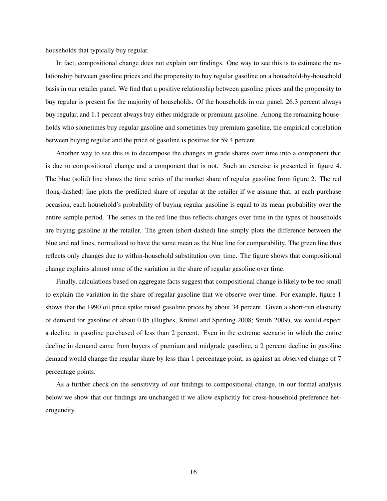households that typically buy regular.

In fact, compositional change does not explain our findings. One way to see this is to estimate the relationship between gasoline prices and the propensity to buy regular gasoline on a household-by-household basis in our retailer panel. We find that a positive relationship between gasoline prices and the propensity to buy regular is present for the majority of households. Of the households in our panel, 26.3 percent always buy regular, and 1.1 percent always buy either midgrade or premium gasoline. Among the remaining households who sometimes buy regular gasoline and sometimes buy premium gasoline, the empirical correlation between buying regular and the price of gasoline is positive for 59.4 percent.

Another way to see this is to decompose the changes in grade shares over time into a component that is due to compositional change and a component that is not. Such an exercise is presented in figure 4. The blue (solid) line shows the time series of the market share of regular gasoline from figure 2. The red (long-dashed) line plots the predicted share of regular at the retailer if we assume that, at each purchase occasion, each household's probability of buying regular gasoline is equal to its mean probability over the entire sample period. The series in the red line thus reflects changes over time in the types of households are buying gasoline at the retailer. The green (short-dashed) line simply plots the difference between the blue and red lines, normalized to have the same mean as the blue line for comparability. The green line thus reflects only changes due to within-household substitution over time. The figure shows that compositional change explains almost none of the variation in the share of regular gasoline over time.

Finally, calculations based on aggregate facts suggest that compositional change is likely to be too small to explain the variation in the share of regular gasoline that we observe over time. For example, figure 1 shows that the 1990 oil price spike raised gasoline prices by about 34 percent. Given a short-run elasticity of demand for gasoline of about 0.05 (Hughes, Knittel and Sperling 2008; Smith 2009), we would expect a decline in gasoline purchased of less than 2 percent. Even in the extreme scenario in which the entire decline in demand came from buyers of premium and midgrade gasoline, a 2 percent decline in gasoline demand would change the regular share by less than 1 percentage point, as against an observed change of 7 percentage points.

As a further check on the sensitivity of our findings to compositional change, in our formal analysis below we show that our findings are unchanged if we allow explicitly for cross-household preference heterogeneity.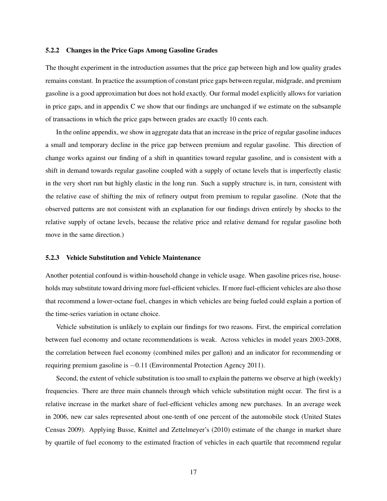#### 5.2.2 Changes in the Price Gaps Among Gasoline Grades

The thought experiment in the introduction assumes that the price gap between high and low quality grades remains constant. In practice the assumption of constant price gaps between regular, midgrade, and premium gasoline is a good approximation but does not hold exactly. Our formal model explicitly allows for variation in price gaps, and in appendix C we show that our findings are unchanged if we estimate on the subsample of transactions in which the price gaps between grades are exactly 10 cents each.

In the online appendix, we show in aggregate data that an increase in the price of regular gasoline induces a small and temporary decline in the price gap between premium and regular gasoline. This direction of change works against our finding of a shift in quantities toward regular gasoline, and is consistent with a shift in demand towards regular gasoline coupled with a supply of octane levels that is imperfectly elastic in the very short run but highly elastic in the long run. Such a supply structure is, in turn, consistent with the relative ease of shifting the mix of refinery output from premium to regular gasoline. (Note that the observed patterns are not consistent with an explanation for our findings driven entirely by shocks to the relative supply of octane levels, because the relative price and relative demand for regular gasoline both move in the same direction.)

#### 5.2.3 Vehicle Substitution and Vehicle Maintenance

Another potential confound is within-household change in vehicle usage. When gasoline prices rise, households may substitute toward driving more fuel-efficient vehicles. If more fuel-efficient vehicles are also those that recommend a lower-octane fuel, changes in which vehicles are being fueled could explain a portion of the time-series variation in octane choice.

Vehicle substitution is unlikely to explain our findings for two reasons. First, the empirical correlation between fuel economy and octane recommendations is weak. Across vehicles in model years 2003-2008, the correlation between fuel economy (combined miles per gallon) and an indicator for recommending or requiring premium gasoline is −0.11 (Environmental Protection Agency 2011).

Second, the extent of vehicle substitution is too small to explain the patterns we observe at high (weekly) frequencies. There are three main channels through which vehicle substitution might occur. The first is a relative increase in the market share of fuel-efficient vehicles among new purchases. In an average week in 2006, new car sales represented about one-tenth of one percent of the automobile stock (United States Census 2009). Applying Busse, Knittel and Zettelmeyer's (2010) estimate of the change in market share by quartile of fuel economy to the estimated fraction of vehicles in each quartile that recommend regular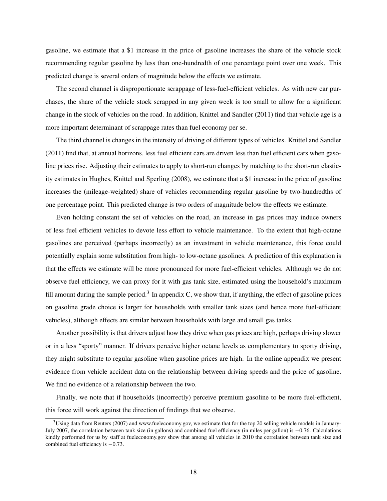gasoline, we estimate that a \$1 increase in the price of gasoline increases the share of the vehicle stock recommending regular gasoline by less than one-hundredth of one percentage point over one week. This predicted change is several orders of magnitude below the effects we estimate.

The second channel is disproportionate scrappage of less-fuel-efficient vehicles. As with new car purchases, the share of the vehicle stock scrapped in any given week is too small to allow for a significant change in the stock of vehicles on the road. In addition, Knittel and Sandler (2011) find that vehicle age is a more important determinant of scrappage rates than fuel economy per se.

The third channel is changes in the intensity of driving of different types of vehicles. Knittel and Sandler (2011) find that, at annual horizons, less fuel efficient cars are driven less than fuel efficient cars when gasoline prices rise. Adjusting their estimates to apply to short-run changes by matching to the short-run elasticity estimates in Hughes, Knittel and Sperling (2008), we estimate that a \$1 increase in the price of gasoline increases the (mileage-weighted) share of vehicles recommending regular gasoline by two-hundredths of one percentage point. This predicted change is two orders of magnitude below the effects we estimate.

Even holding constant the set of vehicles on the road, an increase in gas prices may induce owners of less fuel efficient vehicles to devote less effort to vehicle maintenance. To the extent that high-octane gasolines are perceived (perhaps incorrectly) as an investment in vehicle maintenance, this force could potentially explain some substitution from high- to low-octane gasolines. A prediction of this explanation is that the effects we estimate will be more pronounced for more fuel-efficient vehicles. Although we do not observe fuel efficiency, we can proxy for it with gas tank size, estimated using the household's maximum fill amount during the sample period.<sup>3</sup> In appendix C, we show that, if anything, the effect of gasoline prices on gasoline grade choice is larger for households with smaller tank sizes (and hence more fuel-efficient vehicles), although effects are similar between households with large and small gas tanks.

Another possibility is that drivers adjust how they drive when gas prices are high, perhaps driving slower or in a less "sporty" manner. If drivers perceive higher octane levels as complementary to sporty driving, they might substitute to regular gasoline when gasoline prices are high. In the online appendix we present evidence from vehicle accident data on the relationship between driving speeds and the price of gasoline. We find no evidence of a relationship between the two.

Finally, we note that if households (incorrectly) perceive premium gasoline to be more fuel-efficient, this force will work against the direction of findings that we observe.

<sup>&</sup>lt;sup>3</sup>Using data from Reuters (2007) and www.fueleconomy.gov, we estimate that for the top 20 selling vehicle models in January-July 2007, the correlation between tank size (in gallons) and combined fuel efficiency (in miles per gallon) is −0.76. Calculations kindly performed for us by staff at fueleconomy.gov show that among all vehicles in 2010 the correlation between tank size and combined fuel efficiency is −0.73.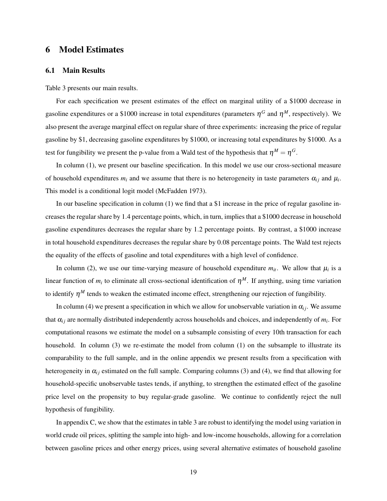## 6 Model Estimates

#### 6.1 Main Results

Table 3 presents our main results.

For each specification we present estimates of the effect on marginal utility of a \$1000 decrease in gasoline expenditures or a \$1000 increase in total expenditures (parameters  $\eta^G$  and  $\eta^M$ , respectively). We also present the average marginal effect on regular share of three experiments: increasing the price of regular gasoline by \$1, decreasing gasoline expenditures by \$1000, or increasing total expenditures by \$1000. As a test for fungibility we present the p-value from a Wald test of the hypothesis that  $\eta^M = \eta^G$ .

In column (1), we present our baseline specification. In this model we use our cross-sectional measure of household expenditures  $m_i$  and we assume that there is no heterogeneity in taste parameters  $\alpha_{ij}$  and  $\mu_i$ . This model is a conditional logit model (McFadden 1973).

In our baseline specification in column (1) we find that a \$1 increase in the price of regular gasoline increases the regular share by 1.4 percentage points, which, in turn, implies that a \$1000 decrease in household gasoline expenditures decreases the regular share by 1.2 percentage points. By contrast, a \$1000 increase in total household expenditures decreases the regular share by 0.08 percentage points. The Wald test rejects the equality of the effects of gasoline and total expenditures with a high level of confidence.

In column (2), we use our time-varying measure of household expenditure  $m_{it}$ . We allow that  $\mu_i$  is a linear function of  $m_i$  to eliminate all cross-sectional identification of  $\eta^M$ . If anything, using time variation to identify  $\eta^M$  tends to weaken the estimated income effect, strengthening our rejection of fungibility.

In column (4) we present a specification in which we allow for unobservable variation in  $\alpha_{i}$ . We assume that  $\alpha_{ij}$  are normally distributed independently across households and choices, and independently of  $m_i$ . For computational reasons we estimate the model on a subsample consisting of every 10th transaction for each household. In column (3) we re-estimate the model from column (1) on the subsample to illustrate its comparability to the full sample, and in the online appendix we present results from a specification with heterogeneity in  $\alpha_{ij}$  estimated on the full sample. Comparing columns (3) and (4), we find that allowing for household-specific unobservable tastes tends, if anything, to strengthen the estimated effect of the gasoline price level on the propensity to buy regular-grade gasoline. We continue to confidently reject the null hypothesis of fungibility.

In appendix C, we show that the estimates in table 3 are robust to identifying the model using variation in world crude oil prices, splitting the sample into high- and low-income households, allowing for a correlation between gasoline prices and other energy prices, using several alternative estimates of household gasoline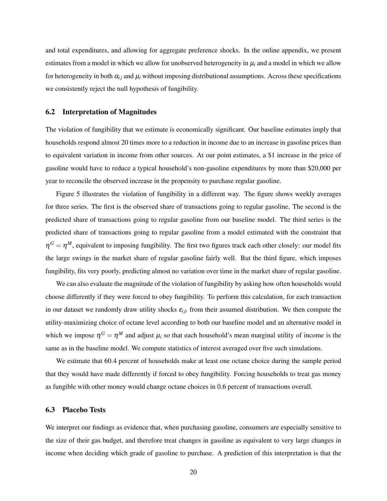and total expenditures, and allowing for aggregate preference shocks. In the online appendix, we present estimates from a model in which we allow for unobserved heterogeneity in  $\mu_i$  and a model in which we allow for heterogeneity in both  $\alpha_{ij}$  and  $\mu_i$  without imposing distributional assumptions. Across these specifications we consistently reject the null hypothesis of fungibility.

#### 6.2 Interpretation of Magnitudes

The violation of fungibility that we estimate is economically significant. Our baseline estimates imply that households respond almost 20 times more to a reduction in income due to an increase in gasoline prices than to equivalent variation in income from other sources. At our point estimates, a \$1 increase in the price of gasoline would have to reduce a typical household's non-gasoline expenditures by more than \$20,000 per year to reconcile the observed increase in the propensity to purchase regular gasoline.

Figure 5 illustrates the violation of fungibility in a different way. The figure shows weekly averages for three series. The first is the observed share of transactions going to regular gasoline. The second is the predicted share of transactions going to regular gasoline from our baseline model. The third series is the predicted share of transactions going to regular gasoline from a model estimated with the constraint that  $\eta^G = \eta^M$ , equivalent to imposing fungibility. The first two figures track each other closely: our model fits the large swings in the market share of regular gasoline fairly well. But the third figure, which imposes fungibility, fits very poorly, predicting almost no variation over time in the market share of regular gasoline.

We can also evaluate the magnitude of the violation of fungibility by asking how often households would choose differently if they were forced to obey fungibility. To perform this calculation, for each transaction in our dataset we randomly draw utility shocks  $\varepsilon_{ijt}$  from their assumed distribution. We then compute the utility-maximizing choice of octane level according to both our baseline model and an alternative model in which we impose  $\eta^G = \eta^M$  and adjust  $\mu_i$  so that each household's mean marginal utility of income is the same as in the baseline model. We compute statistics of interest averaged over five such simulations.

We estimate that 60.4 percent of households make at least one octane choice during the sample period that they would have made differently if forced to obey fungibility. Forcing households to treat gas money as fungible with other money would change octane choices in 0.6 percent of transactions overall.

#### 6.3 Placebo Tests

We interpret our findings as evidence that, when purchasing gasoline, consumers are especially sensitive to the size of their gas budget, and therefore treat changes in gasoline as equivalent to very large changes in income when deciding which grade of gasoline to purchase. A prediction of this interpretation is that the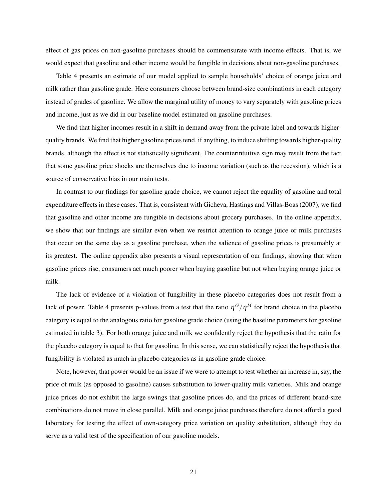effect of gas prices on non-gasoline purchases should be commensurate with income effects. That is, we would expect that gasoline and other income would be fungible in decisions about non-gasoline purchases.

Table 4 presents an estimate of our model applied to sample households' choice of orange juice and milk rather than gasoline grade. Here consumers choose between brand-size combinations in each category instead of grades of gasoline. We allow the marginal utility of money to vary separately with gasoline prices and income, just as we did in our baseline model estimated on gasoline purchases.

We find that higher incomes result in a shift in demand away from the private label and towards higherquality brands. We find that higher gasoline prices tend, if anything, to induce shifting towards higher-quality brands, although the effect is not statistically significant. The counterintuitive sign may result from the fact that some gasoline price shocks are themselves due to income variation (such as the recession), which is a source of conservative bias in our main tests.

In contrast to our findings for gasoline grade choice, we cannot reject the equality of gasoline and total expenditure effects in these cases. That is, consistent with Gicheva, Hastings and Villas-Boas (2007), we find that gasoline and other income are fungible in decisions about grocery purchases. In the online appendix, we show that our findings are similar even when we restrict attention to orange juice or milk purchases that occur on the same day as a gasoline purchase, when the salience of gasoline prices is presumably at its greatest. The online appendix also presents a visual representation of our findings, showing that when gasoline prices rise, consumers act much poorer when buying gasoline but not when buying orange juice or milk.

The lack of evidence of a violation of fungibility in these placebo categories does not result from a lack of power. Table 4 presents p-values from a test that the ratio  $\eta^G/\eta^M$  for brand choice in the placebo category is equal to the analogous ratio for gasoline grade choice (using the baseline parameters for gasoline estimated in table 3). For both orange juice and milk we confidently reject the hypothesis that the ratio for the placebo category is equal to that for gasoline. In this sense, we can statistically reject the hypothesis that fungibility is violated as much in placebo categories as in gasoline grade choice.

Note, however, that power would be an issue if we were to attempt to test whether an increase in, say, the price of milk (as opposed to gasoline) causes substitution to lower-quality milk varieties. Milk and orange juice prices do not exhibit the large swings that gasoline prices do, and the prices of different brand-size combinations do not move in close parallel. Milk and orange juice purchases therefore do not afford a good laboratory for testing the effect of own-category price variation on quality substitution, although they do serve as a valid test of the specification of our gasoline models.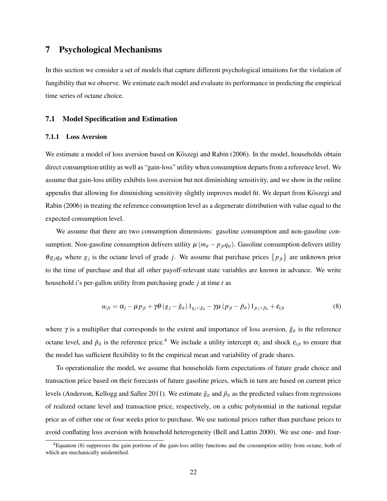# 7 Psychological Mechanisms

In this section we consider a set of models that capture different psychological intuitions for the violation of fungibility that we observe. We estimate each model and evaluate its performance in predicting the empirical time series of octane choice.

#### 7.1 Model Specification and Estimation

#### 7.1.1 Loss Aversion

We estimate a model of loss aversion based on Köszegi and Rabin (2006). In the model, households obtain direct consumption utility as well as "gain-loss" utility when consumption departs from a reference level. We assume that gain-loss utility exhibits loss aversion but not diminishing sensitivity, and we show in the online appendix that allowing for diminishing sensitivity slightly improves model fit. We depart from Köszegi and Rabin (2006) in treating the reference consumption level as a degenerate distribution with value equal to the expected consumption level.

We assume that there are two consumption dimensions: gasoline consumption and non-gasoline consumption. Non-gasoline consumption delivers utility  $\mu (m_{it} - p_{jt}q_{it})$ . Gasoline consumption delivers utility  $\theta g_j q_{it}$  where  $g_j$  is the octane level of grade *j*. We assume that purchase prices  $\{p_{jt}\}$  are unknown prior to the time of purchase and that all other payoff-relevant state variables are known in advance. We write household *i*'s per-gallon utility from purchasing grade *j* at time *t* as

$$
u_{ijt} = \alpha_j - \mu p_{jt} + \gamma \theta (g_j - \tilde{g}_{it}) 1_{g_j < \tilde{g}_{it}} - \gamma \mu (p_{jt} - \tilde{p}_{it}) 1_{p_j > \tilde{p}_{it}} + \varepsilon_{ijt}
$$
(8)

where  $\gamma$  is a multiplier that corresponds to the extent and importance of loss aversion,  $\tilde{g}_{it}$  is the reference octane level, and  $\tilde{p}_{it}$  is the reference price.<sup>4</sup> We include a utility intercept  $\alpha_j$  and shock  $\varepsilon_{ijt}$  to ensure that the model has sufficient flexibility to fit the empirical mean and variability of grade shares.

To operationalize the model, we assume that households form expectations of future grade choice and transaction price based on their forecasts of future gasoline prices, which in turn are based on current price levels (Anderson, Kellogg and Sallee 2011). We estimate  $\tilde{g}_{it}$  and  $\tilde{p}_{it}$  as the predicted values from regressions of realized octane level and transaction price, respectively, on a cubic polynomial in the national regular price as of either one or four weeks prior to purchase. We use national prices rather than purchase prices to avoid conflating loss aversion with household heterogeneity (Bell and Lattin 2000). We use one- and four-

 ${}^{4}$ Equation (8) suppresses the gain portions of the gain-loss utility functions and the consumption utility from octane, both of which are mechanically unidentified.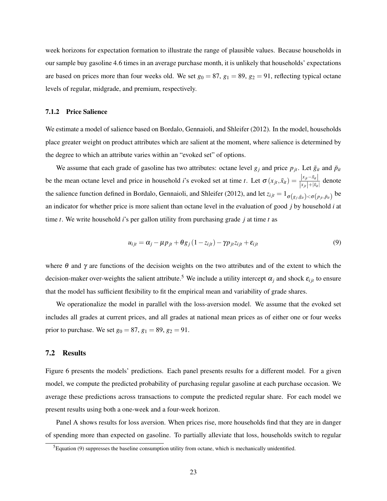week horizons for expectation formation to illustrate the range of plausible values. Because households in our sample buy gasoline 4.6 times in an average purchase month, it is unlikely that households' expectations are based on prices more than four weeks old. We set  $g_0 = 87$ ,  $g_1 = 89$ ,  $g_2 = 91$ , reflecting typical octane levels of regular, midgrade, and premium, respectively.

#### 7.1.2 Price Salience

We estimate a model of salience based on Bordalo, Gennaioli, and Shleifer (2012). In the model, households place greater weight on product attributes which are salient at the moment, where salience is determined by the degree to which an attribute varies within an "evoked set" of options.

We assume that each grade of gasoline has two attributes: octane level  $g_i$  and price  $p_{it}$ . Let  $\bar{g}_{it}$  and  $\bar{p}_{it}$ be the mean octane level and price in household *i*'s evoked set at time *t*. Let  $\sigma(x_{jt}, \bar{x}_{it}) = \frac{|x_{jt} - \bar{x}_{it}|}{|x_{jt}| + |\bar{x}_{it}|}$  denote the salience function defined in Bordalo, Gennaioli, and Shleifer (2012), and let  $z_{ijt} = 1_{\sigma(g_j, \bar{g}_i) < \sigma(p_{jt}, \bar{p}_i)}$  be an indicator for whether price is more salient than octane level in the evaluation of good *j* by household *i* at time *t*. We write household *i*'s per gallon utility from purchasing grade *j* at time *t* as

$$
u_{ijt} = \alpha_j - \mu p_{jt} + \theta g_j (1 - z_{ijt}) - \gamma p_{jt} z_{ijt} + \varepsilon_{ijt}
$$
\n
$$
\tag{9}
$$

where  $\theta$  and  $\gamma$  are functions of the decision weights on the two attributes and of the extent to which the decision-maker over-weights the salient attribute.<sup>5</sup> We include a utility intercept  $\alpha_i$  and shock  $\varepsilon_{i i t}$  to ensure that the model has sufficient flexibility to fit the empirical mean and variability of grade shares.

We operationalize the model in parallel with the loss-aversion model. We assume that the evoked set includes all grades at current prices, and all grades at national mean prices as of either one or four weeks prior to purchase. We set  $g_0 = 87$ ,  $g_1 = 89$ ,  $g_2 = 91$ .

### 7.2 Results

Figure 6 presents the models' predictions. Each panel presents results for a different model. For a given model, we compute the predicted probability of purchasing regular gasoline at each purchase occasion. We average these predictions across transactions to compute the predicted regular share. For each model we present results using both a one-week and a four-week horizon.

Panel A shows results for loss aversion. When prices rise, more households find that they are in danger of spending more than expected on gasoline. To partially alleviate that loss, households switch to regular

 $5$ Equation (9) suppresses the baseline consumption utility from octane, which is mechanically unidentified.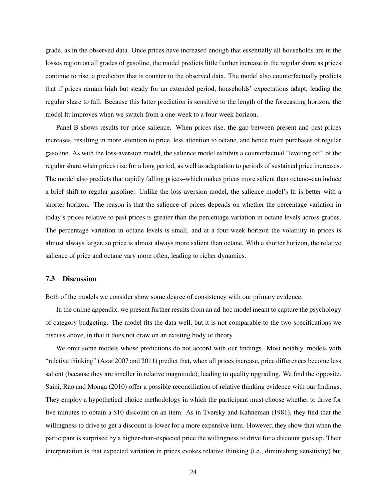grade, as in the observed data. Once prices have increased enough that essentially all households are in the losses region on all grades of gasoline, the model predicts little further increase in the regular share as prices continue to rise, a prediction that is counter to the observed data. The model also counterfactually predicts that if prices remain high but steady for an extended period, households' expectations adapt, leading the regular share to fall. Because this latter prediction is sensitive to the length of the forecasting horizon, the model fit improves when we switch from a one-week to a four-week horizon.

Panel B shows results for price salience. When prices rise, the gap between present and past prices increases, resulting in more attention to price, less attention to octane, and hence more purchases of regular gasoline. As with the loss-aversion model, the salience model exhibits a counterfactual "leveling off" of the regular share when prices rise for a long period, as well as adaptation to periods of sustained price increases. The model also predicts that rapidly falling prices–which makes prices more salient than octane–can induce a brief shift to regular gasoline. Unlike the loss-aversion model, the salience model's fit is better with a shorter horizon. The reason is that the salience of prices depends on whether the percentage variation in today's prices relative to past prices is greater than the percentage variation in octane levels across grades. The percentage variation in octane levels is small, and at a four-week horizon the volatility in prices is almost always larger, so price is almost always more salient than octane. With a shorter horizon, the relative salience of price and octane vary more often, leading to richer dynamics.

#### 7.3 Discussion

Both of the models we consider show some degree of consistency with our primary evidence.

In the online appendix, we present further results from an ad-hoc model meant to capture the psychology of category budgeting. The model fits the data well, but it is not comparable to the two specifications we discuss above, in that it does not draw on an existing body of theory.

We omit some models whose predictions do not accord with our findings. Most notably, models with "relative thinking" (Azar 2007 and 2011) predict that, when all prices increase, price differences become less salient (because they are smaller in relative magnitude), leading to quality upgrading. We find the opposite. Saini, Rao and Monga (2010) offer a possible reconciliation of relative thinking evidence with our findings. They employ a hypothetical choice methodology in which the participant must choose whether to drive for five minutes to obtain a \$10 discount on an item. As in Tversky and Kahneman (1981), they find that the willingness to drive to get a discount is lower for a more expensive item. However, they show that when the participant is surprised by a higher-than-expected price the willingness to drive for a discount goes up. Their interpretation is that expected variation in prices evokes relative thinking (i.e., diminishing sensitivity) but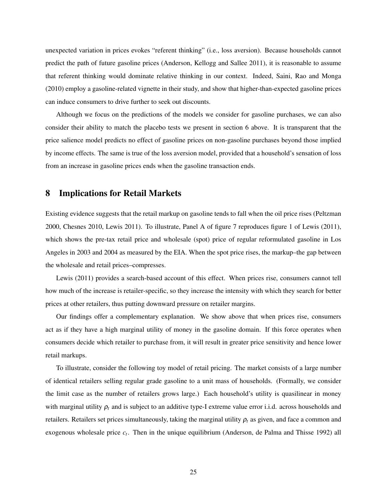unexpected variation in prices evokes "referent thinking" (i.e., loss aversion). Because households cannot predict the path of future gasoline prices (Anderson, Kellogg and Sallee 2011), it is reasonable to assume that referent thinking would dominate relative thinking in our context. Indeed, Saini, Rao and Monga (2010) employ a gasoline-related vignette in their study, and show that higher-than-expected gasoline prices can induce consumers to drive further to seek out discounts.

Although we focus on the predictions of the models we consider for gasoline purchases, we can also consider their ability to match the placebo tests we present in section 6 above. It is transparent that the price salience model predicts no effect of gasoline prices on non-gasoline purchases beyond those implied by income effects. The same is true of the loss aversion model, provided that a household's sensation of loss from an increase in gasoline prices ends when the gasoline transaction ends.

# 8 Implications for Retail Markets

Existing evidence suggests that the retail markup on gasoline tends to fall when the oil price rises (Peltzman 2000, Chesnes 2010, Lewis 2011). To illustrate, Panel A of figure 7 reproduces figure 1 of Lewis (2011), which shows the pre-tax retail price and wholesale (spot) price of regular reformulated gasoline in Los Angeles in 2003 and 2004 as measured by the EIA. When the spot price rises, the markup–the gap between the wholesale and retail prices–compresses.

Lewis (2011) provides a search-based account of this effect. When prices rise, consumers cannot tell how much of the increase is retailer-specific, so they increase the intensity with which they search for better prices at other retailers, thus putting downward pressure on retailer margins.

Our findings offer a complementary explanation. We show above that when prices rise, consumers act as if they have a high marginal utility of money in the gasoline domain. If this force operates when consumers decide which retailer to purchase from, it will result in greater price sensitivity and hence lower retail markups.

To illustrate, consider the following toy model of retail pricing. The market consists of a large number of identical retailers selling regular grade gasoline to a unit mass of households. (Formally, we consider the limit case as the number of retailers grows large.) Each household's utility is quasilinear in money with marginal utility  $\rho_t$  and is subject to an additive type-I extreme value error i.i.d. across households and retailers. Retailers set prices simultaneously, taking the marginal utility  $\rho_t$  as given, and face a common and exogenous wholesale price *c<sup>t</sup>* . Then in the unique equilibrium (Anderson, de Palma and Thisse 1992) all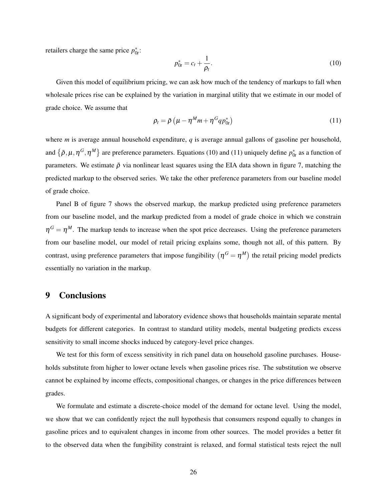retailers charge the same price  $p_{0t}^*$ :

$$
p_{0t}^* = c_t + \frac{1}{\rho_t}.\tag{10}
$$

Given this model of equilibrium pricing, we can ask how much of the tendency of markups to fall when wholesale prices rise can be explained by the variation in marginal utility that we estimate in our model of grade choice. We assume that

$$
\rho_t = \bar{\rho} \left( \mu - \eta^M m + \eta^G q p_{0t}^* \right) \tag{11}
$$

where *m* is average annual household expenditure, *q* is average annual gallons of gasoline per household, and  $\{\bar{\rho}, \mu, \eta^G, \eta^M\}$  are preference parameters. Equations (10) and (11) uniquely define  $p_{0t}^*$  as a function of parameters. We estimate  $\bar{\rho}$  via nonlinear least squares using the EIA data shown in figure 7, matching the predicted markup to the observed series. We take the other preference parameters from our baseline model of grade choice.

Panel B of figure 7 shows the observed markup, the markup predicted using preference parameters from our baseline model, and the markup predicted from a model of grade choice in which we constrain  $\eta^G = \eta^M$ . The markup tends to increase when the spot price decreases. Using the preference parameters from our baseline model, our model of retail pricing explains some, though not all, of this pattern. By contrast, using preference parameters that impose fungibility  $(\eta^G = \eta^M)$  the retail pricing model predicts essentially no variation in the markup.

### 9 Conclusions

A significant body of experimental and laboratory evidence shows that households maintain separate mental budgets for different categories. In contrast to standard utility models, mental budgeting predicts excess sensitivity to small income shocks induced by category-level price changes.

We test for this form of excess sensitivity in rich panel data on household gasoline purchases. Households substitute from higher to lower octane levels when gasoline prices rise. The substitution we observe cannot be explained by income effects, compositional changes, or changes in the price differences between grades.

We formulate and estimate a discrete-choice model of the demand for octane level. Using the model, we show that we can confidently reject the null hypothesis that consumers respond equally to changes in gasoline prices and to equivalent changes in income from other sources. The model provides a better fit to the observed data when the fungibility constraint is relaxed, and formal statistical tests reject the null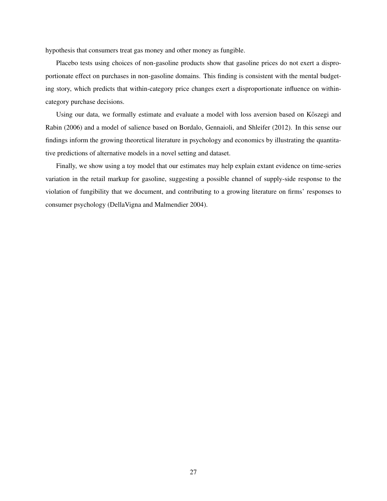hypothesis that consumers treat gas money and other money as fungible.

Placebo tests using choices of non-gasoline products show that gasoline prices do not exert a disproportionate effect on purchases in non-gasoline domains. This finding is consistent with the mental budgeting story, which predicts that within-category price changes exert a disproportionate influence on withincategory purchase decisions.

Using our data, we formally estimate and evaluate a model with loss aversion based on Köszegi and Rabin (2006) and a model of salience based on Bordalo, Gennaioli, and Shleifer (2012). In this sense our findings inform the growing theoretical literature in psychology and economics by illustrating the quantitative predictions of alternative models in a novel setting and dataset.

Finally, we show using a toy model that our estimates may help explain extant evidence on time-series variation in the retail markup for gasoline, suggesting a possible channel of supply-side response to the violation of fungibility that we document, and contributing to a growing literature on firms' responses to consumer psychology (DellaVigna and Malmendier 2004).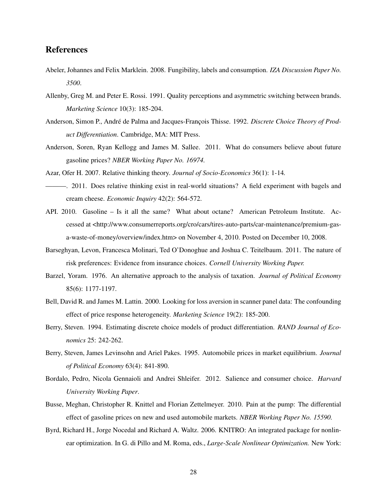# References

- Abeler, Johannes and Felix Marklein. 2008. Fungibility, labels and consumption. *IZA Discussion Paper No. 3500*.
- Allenby, Greg M. and Peter E. Rossi. 1991. Quality perceptions and asymmetric switching between brands. *Marketing Science* 10(3): 185-204.
- Anderson, Simon P., André de Palma and Jacques-François Thisse. 1992. *Discrete Choice Theory of Product Differentiation*. Cambridge, MA: MIT Press.
- Anderson, Soren, Ryan Kellogg and James M. Sallee. 2011. What do consumers believe about future gasoline prices? *NBER Working Paper No. 16974.*
- Azar, Ofer H. 2007. Relative thinking theory. *Journal of Socio-Economics* 36(1): 1-14*.*
- ———. 2011. Does relative thinking exist in real-world situations? A field experiment with bagels and cream cheese. *Economic Inquiry* 42(2): 564-572.
- API. 2010. Gasoline Is it all the same? What about octane? American Petroleum Institute. Accessed at <http://www.consumerreports.org/cro/cars/tires-auto-parts/car-maintenance/premium-gasa-waste-of-money/overview/index.htm> on November 4, 2010. Posted on December 10, 2008.
- Barseghyan, Levon, Francesca Molinari, Ted O'Donoghue and Joshua C. Teitelbaum. 2011. The nature of risk preferences: Evidence from insurance choices. *Cornell University Working Paper.*
- Barzel, Yoram. 1976. An alternative approach to the analysis of taxation. *Journal of Political Economy* 85(6): 1177-1197.
- Bell, David R. and James M. Lattin. 2000. Looking for loss aversion in scanner panel data: The confounding effect of price response heterogeneity. *Marketing Science* 19(2): 185-200.
- Berry, Steven. 1994. Estimating discrete choice models of product differentiation. *RAND Journal of Economics* 25: 242-262.
- Berry, Steven, James Levinsohn and Ariel Pakes. 1995. Automobile prices in market equilibrium. *Journal of Political Economy* 63(4): 841-890.
- Bordalo, Pedro, Nicola Gennaioli and Andrei Shleifer. 2012. Salience and consumer choice. *Harvard University Working Paper*.
- Busse, Meghan, Christopher R. Knittel and Florian Zettelmeyer. 2010. Pain at the pump: The differential effect of gasoline prices on new and used automobile markets. *NBER Working Paper No. 15590.*
- Byrd, Richard H., Jorge Nocedal and Richard A. Waltz. 2006. KNITRO: An integrated package for nonlinear optimization. In G. di Pillo and M. Roma, eds., *Large-Scale Nonlinear Optimization.* New York: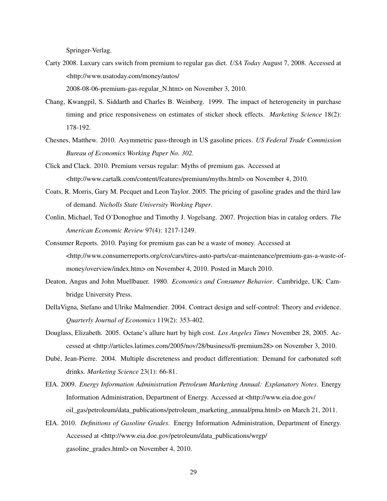Springer-Verlag.

- Carty 2008. Luxury cars switch from premium to regular gas diet. *USA Today* August 7, 2008. Accessed at <http://www.usatoday.com/money/autos/ 2008-08-06-premium-gas-regular\_N.htm> on November 3, 2010.
- Chang, Kwangpil, S. Siddarth and Charles B. Weinberg. 1999. The impact of heterogeneity in purchase timing and price responsiveness on estimates of sticker shock effects. *Marketing Science* 18(2): 178-192.
- Chesnes, Matthew. 2010. Asymmetric pass-through in US gasoline prices. *US Federal Trade Commission Bureau of Economics Working Paper No. 302.*
- Click and Clack. 2010. Premium versus regular: Myths of premium gas. Accessed at <http://www.cartalk.com/content/features/premium/myths.html> on November 4, 2010.
- Coats, R. Morris, Gary M. Pecquet and Leon Taylor. 2005. The pricing of gasoline grades and the third law of demand. *Nicholls State University Working Paper*.
- Conlin, Michael, Ted O'Donoghue and Timothy J. Vogelsang. 2007. Projection bias in catalog orders. *The American Economic Review* 97(4): 1217-1249.
- Consumer Reports. 2010. Paying for premium gas can be a waste of money. Accessed at <http://www.consumerreports.org/cro/cars/tires-auto-parts/car-maintenance/premium-gas-a-waste-ofmoney/overview/index.htm> on November 4, 2010. Posted in March 2010.
- Deaton, Angus and John Muellbauer. 1980. *Economics and Consumer Behavior*. Cambridge, UK: Cambridge University Press.
- DellaVigna, Stefano and Ulrike Malmendier. 2004. Contract design and self-control: Theory and evidence. *Quarterly Journal of Economics* 119(2): 353-402.
- Douglass, Elizabeth. 2005. Octane's allure hurt by high cost. *Los Angeles Times* November 28, 2005. Accessed at <http://articles.latimes.com/2005/nov/28/business/fi-premium28> on November 3, 2010.
- Dubé, Jean-Pierre. 2004. Multiple discreteness and product differentiation: Demand for carbonated soft drinks. *Marketing Science* 23(1): 66-81.
- EIA. 2009. *Energy Information Administration Petroleum Marketing Annual: Explanatory Notes*. Energy Information Administration, Department of Energy. Accessed at <http://www.eia.doe.gov/ oil\_gas/petroleum/data\_publications/petroleum\_marketing\_annual/pma.html> on March 21, 2011.
- EIA. 2010. *Definitions of Gasoline Grades*. Energy Information Administration, Department of Energy. Accessed at <http://www.eia.doe.gov/petroleum/data\_publications/wrgp/ gasoline\_grades.html> on November 4, 2010.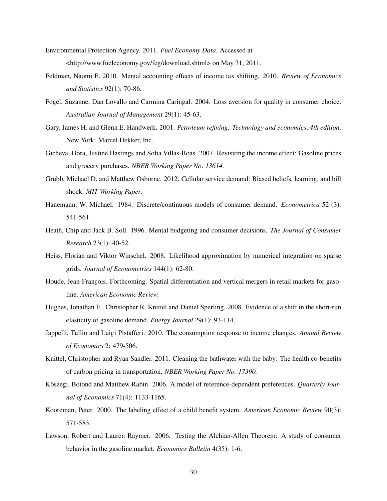- Environmental Protection Agency. 2011. *Fuel Economy Data*. Accessed at <http://www.fueleconomy.gov/feg/download.shtml> on May 31, 2011.
- Feldman, Naomi E. 2010. Mental accounting effects of income tax shifting. 2010. *Review of Economics and Statistics* 92(1): 70-86.
- Fogel, Suzanne, Dan Lovallo and Carmina Caringal. 2004. Loss aversion for quality in consumer choice. *Australian Journal of Management* 29(1): 45-63.
- Gary, James H. and Glenn E. Handwerk. 2001. *Petroleum refining: Technology and economics*, *4th edition*. New York: Marcel Dekker, Inc.
- Gicheva, Dora, Justine Hastings and Sofia Villas-Boas. 2007. Revisiting the income effect: Gasoline prices and grocery purchases. *NBER Working Paper No*. *13614.*
- Grubb, Michael D. and Matthew Osborne. 2012. Cellular service demand: Biased beliefs, learning, and bill shock. *MIT Working Paper*.
- Hanemann, W. Michael. 1984. Discrete/continuous models of consumer demand. *Econometrica* 52 (3): 541-561.
- Heath, Chip and Jack B. Soll. 1996. Mental budgeting and consumer decisions. *The Journal of Consumer Research* 23(1): 40-52.
- Heiss, Florian and Viktor Winschel. 2008. Likelihood approximation by numerical integration on sparse grids. *Journal of Econometrics* 144(1): 62-80.
- Houde, Jean-François. Forthcoming. Spatial differentiation and vertical mergers in retail markets for gasoline. *American Economic Review.*
- Hughes, Jonathan E., Christopher R. Knittel and Daniel Sperling. 2008. Evidence of a shift in the short-run elasticity of gasoline demand. *Energy Journal* 29(1): 93-114.
- Jappelli, Tullio and Luigi Pistafferi. 2010. The consumption response to income changes. *Annual Review of Economics* 2: 479-506.
- Knittel, Christopher and Ryan Sandler. 2011. Cleaning the bathwater with the baby: The health co-benefits of carbon pricing in transportation. *NBER Working Paper No. 17390.*
- Köszegi, Botond and Matthew Rabin. 2006. A model of reference-dependent preferences. *Quarterly Journal of Economics* 71(4): 1133-1165.
- Kooreman, Peter. 2000. The labeling effect of a child benefit system. *American Economic Review* 90(3): 571-583.
- Lawson, Robert and Lauren Raymer. 2006. Testing the Alchian-Allen Theorem: A study of consumer behavior in the gasoline market. *Economics Bulletin* 4(35): 1-6.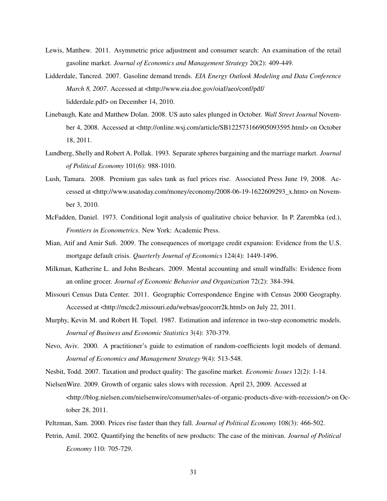- Lewis, Matthew. 2011. Asymmetric price adjustment and consumer search: An examination of the retail gasoline market. *Journal of Economics and Management Strategy* 20(2): 409-449.
- Lidderdale, Tancred. 2007. Gasoline demand trends. *EIA Energy Outlook Modeling and Data Conference March 8, 2007*. Accessed at <http://www.eia.doe.gov/oiaf/aeo/conf/pdf/ lidderdale.pdf> on December 14, 2010.
- Linebaugh, Kate and Matthew Dolan. 2008. US auto sales plunged in October. *Wall Street Journal* November 4, 2008. Accessed at <http://online.wsj.com/article/SB122573166905093595.html> on October 18, 2011.
- Lundberg, Shelly and Robert A. Pollak. 1993. Separate spheres bargaining and the marriage market. *Journal of Political Economy* 101(6): 988-1010.
- Lush, Tamara. 2008. Premium gas sales tank as fuel prices rise. Associated Press June 19, 2008. Accessed at <http://www.usatoday.com/money/economy/2008-06-19-1622609293\_x.htm> on November 3, 2010.
- McFadden, Daniel. 1973. Conditional logit analysis of qualitative choice behavior. In P. Zarembka (ed.), *Frontiers in Econometrics*. New York: Academic Press.
- Mian, Atif and Amir Sufi. 2009. The consequences of mortgage credit expansion: Evidence from the U.S. mortgage default crisis. *Quarterly Journal of Economics* 124(4): 1449-1496.
- Milkman, Katherine L. and John Beshears. 2009. Mental accounting and small windfalls: Evidence from an online grocer. *Journal of Economic Behavior and Organization* 72(2): 384-394.
- Missouri Census Data Center. 2011. Geographic Correspondence Engine with Census 2000 Geography. Accessed at <http://mcdc2.missouri.edu/websas/geocorr2k.html> on July 22, 2011.
- Murphy, Kevin M. and Robert H. Topel. 1987. Estimation and inference in two-step econometric models. *Journal of Business and Economic Statistics* 3(4): 370-379.
- Nevo, Aviv. 2000. A practitioner's guide to estimation of random-coefficients logit models of demand. *Journal of Economics and Management Strategy* 9(4): 513-548.

Nesbit, Todd. 2007. Taxation and product quality: The gasoline market. *Economic Issues* 12(2): 1-14.

- NielsenWire. 2009. Growth of organic sales slows with recession. April 23, 2009. Accessed at <http://blog.nielsen.com/nielsenwire/consumer/sales-of-organic-products-dive-with-recession/> on October 28, 2011.
- Peltzman, Sam. 2000. Prices rise faster than they fall. *Journal of Political Economy* 108(3): 466-502.
- Petrin, Amil. 2002. Quantifying the benefits of new products: The case of the minivan. *Journal of Political Economy* 110: 705-729.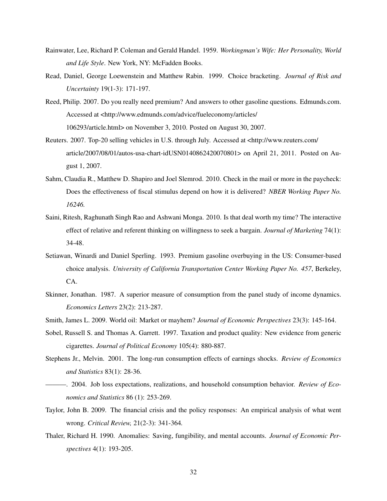- Rainwater, Lee, Richard P. Coleman and Gerald Handel. 1959. *Workingman's Wife: Her Personality, World and Life Style*. New York, NY: McFadden Books.
- Read, Daniel, George Loewenstein and Matthew Rabin. 1999. Choice bracketing. *Journal of Risk and Uncertainty* 19(1-3): 171-197.
- Reed, Philip. 2007. Do you really need premium? And answers to other gasoline questions. Edmunds.com. Accessed at <http://www.edmunds.com/advice/fueleconomy/articles/ 106293/article.html> on November 3, 2010. Posted on August 30, 2007.
- Reuters. 2007. Top-20 selling vehicles in U.S. through July. Accessed at <http://www.reuters.com/ article/2007/08/01/autos-usa-chart-idUSN0140862420070801> on April 21, 2011. Posted on August 1, 2007.
- Sahm, Claudia R., Matthew D. Shapiro and Joel Slemrod. 2010. Check in the mail or more in the paycheck: Does the effectiveness of fiscal stimulus depend on how it is delivered? *NBER Working Paper No. 16246.*
- Saini, Ritesh, Raghunath Singh Rao and Ashwani Monga. 2010. Is that deal worth my time? The interactive effect of relative and referent thinking on willingness to seek a bargain. *Journal of Marketing* 74(1): 34-48.
- Setiawan, Winardi and Daniel Sperling. 1993. Premium gasoline overbuying in the US: Consumer-based choice analysis. *University of California Transportation Center Working Paper No. 457*, Berkeley, CA.
- Skinner, Jonathan. 1987. A superior measure of consumption from the panel study of income dynamics. *Economics Letters* 23(2): 213-287.
- Smith, James L. 2009. World oil: Market or mayhem? *Journal of Economic Perspectives* 23(3): 145-164.
- Sobel, Russell S. and Thomas A. Garrett. 1997. Taxation and product quality: New evidence from generic cigarettes. *Journal of Political Economy* 105(4): 880-887.
- Stephens Jr., Melvin. 2001. The long-run consumption effects of earnings shocks. *Review of Economics and Statistics* 83(1): 28-36.
- ———. 2004. Job loss expectations, realizations, and household consumption behavior. *Review of Economics and Statistics* 86 (1): 253-269.
- Taylor, John B. 2009. The financial crisis and the policy responses: An empirical analysis of what went wrong. *Critical Review,* 21(2-3): 341-364*.*
- Thaler, Richard H. 1990. Anomalies: Saving, fungibility, and mental accounts. *Journal of Economic Perspectives* 4(1): 193-205.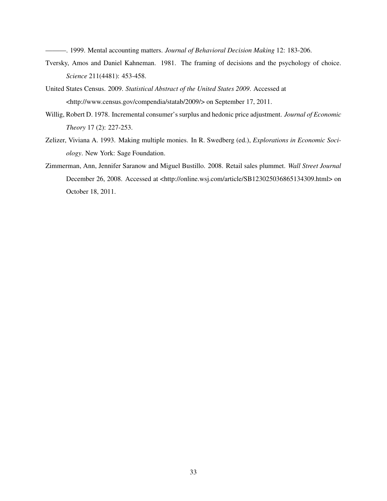———. 1999. Mental accounting matters. *Journal of Behavioral Decision Making* 12: 183-206.

- Tversky, Amos and Daniel Kahneman. 1981. The framing of decisions and the psychology of choice. *Science* 211(4481): 453-458.
- United States Census. 2009. *Statistical Abstract of the United States 2009*. Accessed at <http://www.census.gov/compendia/statab/2009/> on September 17, 2011.
- Willig, Robert D. 1978. Incremental consumer's surplus and hedonic price adjustment. *Journal of Economic Theory* 17 (2): 227-253.
- Zelizer, Viviana A. 1993. Making multiple monies. In R. Swedberg (ed.), *Explorations in Economic Sociology*. New York: Sage Foundation.
- Zimmerman, Ann, Jennifer Saranow and Miguel Bustillo. 2008. Retail sales plummet. *Wall Street Journal* December 26, 2008. Accessed at <http://online.wsj.com/article/SB123025036865134309.html> on October 18, 2011.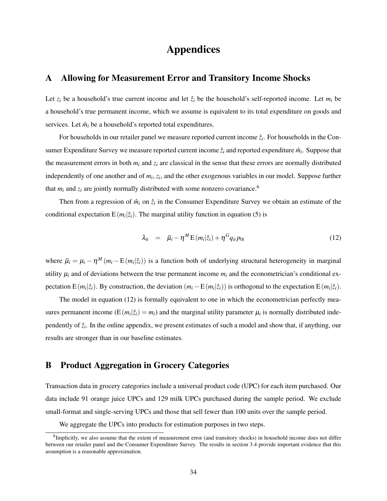# Appendices

# A Allowing for Measurement Error and Transitory Income Shocks

Let  $z_i$  be a household's true current income and let  $\hat{z}_i$  be the household's self-reported income. Let  $m_i$  be a household's true permanent income, which we assume is equivalent to its total expenditure on goods and services. Let  $\hat{m}_i$  be a household's reported total expenditures.

For households in our retailer panel we measure reported current income  $\hat{z}_i$ . For households in the Consumer Expenditure Survey we measure reported current income  $\hat{z}_i$  and reported expenditure  $\hat{m}_i$ . Suppose that the measurement errors in both  $m_i$  and  $z_i$  are classical in the sense that these errors are normally distributed independently of one another and of  $m_i$ ,  $z_i$ , and the other exogenous variables in our model. Suppose further that  $m_i$  and  $z_i$  are jointly normally distributed with some nonzero covariance.<sup>6</sup>

Then from a regression of  $\hat{m}_i$  on  $\hat{z}_i$  in the Consumer Expenditure Survey we obtain an estimate of the conditional expectation  $E(m_i|\hat{z}_i)$ . The marginal utility function in equation (5) is

$$
\lambda_{it} = \tilde{\mu}_i - \eta^M \mathbf{E}(m_i|\hat{z}_i) + \eta^G q_{it} p_{0t} \tag{12}
$$

where  $\tilde{\mu}_i = \mu_i - \eta^M (m_i - E(m_i|\hat{z}_i))$  is a function both of underlying structural heterogeneity in marginal utility  $\mu_i$  and of deviations between the true permanent income  $m_i$  and the econometrician's conditional expectation  $E(m_i|\hat{z}_i)$ . By construction, the deviation  $(m_i - E(m_i|\hat{z}_i))$  is orthogonal to the expectation  $E(m_i|\hat{z}_i)$ .

The model in equation (12) is formally equivalent to one in which the econometrician perfectly measures permanent income  $(E(m_i|\hat{z}_i) = m_i)$  and the marginal utility parameter  $\mu_i$  is normally distributed independently of  $\hat{z}_i$ . In the online appendix, we present estimates of such a model and show that, if anything, our results are stronger than in our baseline estimates.

# B Product Aggregation in Grocery Categories

Transaction data in grocery categories include a universal product code (UPC) for each item purchased. Our data include 91 orange juice UPCs and 129 milk UPCs purchased during the sample period. We exclude small-format and single-serving UPCs and those that sell fewer than 100 units over the sample period.

We aggregate the UPCs into products for estimation purposes in two steps.

<sup>&</sup>lt;sup>6</sup>Implicitly, we also assume that the extent of measurement error (and transitory shocks) in household income does not differ between our retailer panel and the Consumer Expenditure Survey. The results in section 3.4 provide important evidence that this assumption is a reasonable approximation.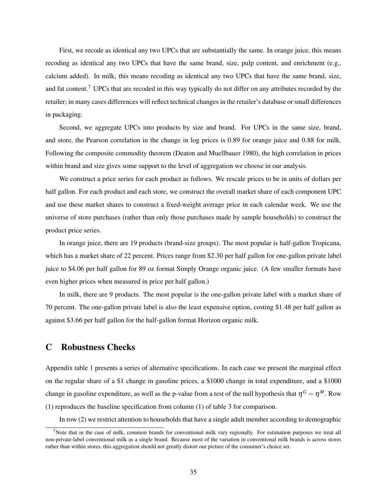First, we recode as identical any two UPCs that are substantially the same. In orange juice, this means recoding as identical any two UPCs that have the same brand, size, pulp content, and enrichment (e.g., calcium added). In milk, this means recoding as identical any two UPCs that have the same brand, size, and fat content.<sup>7</sup> UPCs that are recoded in this way typically do not differ on any attributes recorded by the retailer; in many cases differences will reflect technical changes in the retailer's database or small differences in packaging.

Second, we aggregate UPCs into products by size and brand. For UPCs in the same size, brand, and store, the Pearson correlation in the change in log prices is 0.89 for orange juice and 0.88 for milk. Following the composite commodity theorem (Deaton and Muellbauer 1980), the high correlation in prices within brand and size gives some support to the level of aggregation we choose in our analysis.

We construct a price series for each product as follows. We rescale prices to be in units of dollars per half gallon. For each product and each store, we construct the overall market share of each component UPC and use these market shares to construct a fixed-weight average price in each calendar week. We use the universe of store purchases (rather than only those purchases made by sample households) to construct the product price series.

In orange juice, there are 19 products (brand-size groups). The most popular is half-gallon Tropicana, which has a market share of 22 percent. Prices range from \$2.30 per half gallon for one-gallon private label juice to \$4.06 per half gallon for 89 oz format Simply Orange organic juice. (A few smaller formats have even higher prices when measured in price per half gallon.)

In milk, there are 9 products. The most popular is the one-gallon private label with a market share of 70 percent. The one-gallon private label is also the least expensive option, costing \$1.48 per half gallon as against \$3.66 per half gallon for the half-gallon format Horizon organic milk.

# C Robustness Checks

Appendix table 1 presents a series of alternative specifications. In each case we present the marginal effect on the regular share of a \$1 change in gasoline prices, a \$1000 change in total expenditure, and a \$1000 change in gasoline expenditure, as well as the p-value from a test of the null hypothesis that  $\eta^G = \eta^M$ . Row (1) reproduces the baseline specification from column (1) of table 3 for comparison.

In row (2) we restrict attention to households that have a single adult member according to demographic

<sup>&</sup>lt;sup>7</sup>Note that in the case of milk, common brands for conventional milk vary regionally. For estimation purposes we treat all non-private-label conventional milk as a single brand. Because most of the variation in conventional milk brands is across stores rather than within stores, this aggregation should not greatly distort our picture of the consumer's choice set.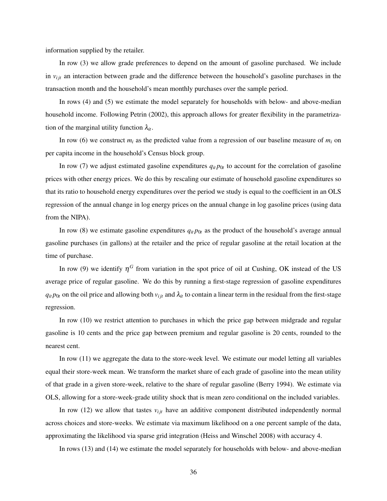information supplied by the retailer.

In row (3) we allow grade preferences to depend on the amount of gasoline purchased. We include in  $v_{ijt}$  an interaction between grade and the difference between the household's gasoline purchases in the transaction month and the household's mean monthly purchases over the sample period.

In rows (4) and (5) we estimate the model separately for households with below- and above-median household income. Following Petrin (2002), this approach allows for greater flexibility in the parametrization of the marginal utility function  $\lambda_{it}$ .

In row (6) we construct  $m_i$  as the predicted value from a regression of our baseline measure of  $m_i$  on per capita income in the household's Census block group.

In row (7) we adjust estimated gasoline expenditures  $q_{it} p_{0t}$  to account for the correlation of gasoline prices with other energy prices. We do this by rescaling our estimate of household gasoline expenditures so that its ratio to household energy expenditures over the period we study is equal to the coefficient in an OLS regression of the annual change in log energy prices on the annual change in log gasoline prices (using data from the NIPA).

In row (8) we estimate gasoline expenditures  $q_{it} p_{0t}$  as the product of the household's average annual gasoline purchases (in gallons) at the retailer and the price of regular gasoline at the retail location at the time of purchase.

In row (9) we identify  $\eta$ <sup>G</sup> from variation in the spot price of oil at Cushing, OK instead of the US average price of regular gasoline. We do this by running a first-stage regression of gasoline expenditures  $q_{it} p_{0t}$  on the oil price and allowing both  $v_{ijt}$  and  $\lambda_{it}$  to contain a linear term in the residual from the first-stage regression.

In row (10) we restrict attention to purchases in which the price gap between midgrade and regular gasoline is 10 cents and the price gap between premium and regular gasoline is 20 cents, rounded to the nearest cent.

In row (11) we aggregate the data to the store-week level. We estimate our model letting all variables equal their store-week mean. We transform the market share of each grade of gasoline into the mean utility of that grade in a given store-week, relative to the share of regular gasoline (Berry 1994). We estimate via OLS, allowing for a store-week-grade utility shock that is mean zero conditional on the included variables.

In row  $(12)$  we allow that tastes  $v_{ijt}$  have an additive component distributed independently normal across choices and store-weeks. We estimate via maximum likelihood on a one percent sample of the data, approximating the likelihood via sparse grid integration (Heiss and Winschel 2008) with accuracy 4.

In rows (13) and (14) we estimate the model separately for households with below- and above-median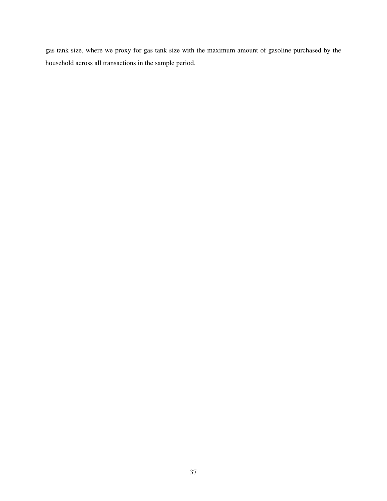gas tank size, where we proxy for gas tank size with the maximum amount of gasoline purchased by the household across all transactions in the sample period.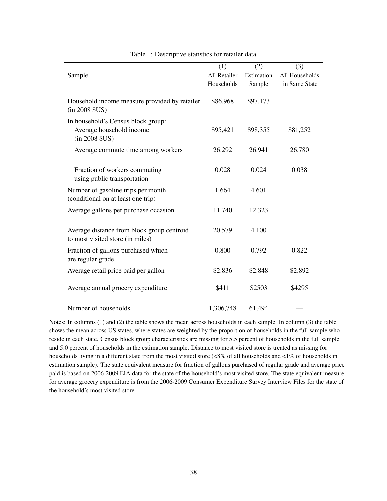|                                                                                     | (1)          | (2)        | (3)            |
|-------------------------------------------------------------------------------------|--------------|------------|----------------|
| Sample                                                                              | All Retailer | Estimation | All Households |
|                                                                                     | Households   | Sample     | in Same State  |
| Household income measure provided by retailer<br>$(in 2008$ $SUS)$                  | \$86,968     | \$97,173   |                |
| In household's Census block group:<br>Average household income<br>$(in 2008$ $SUS)$ | \$95,421     | \$98,355   | \$81,252       |
| Average commute time among workers                                                  | 26.292       | 26.941     | 26.780         |
|                                                                                     |              |            |                |
| Fraction of workers commuting<br>using public transportation                        | 0.028        | 0.024      | 0.038          |
| Number of gasoline trips per month<br>(conditional on at least one trip)            | 1.664        | 4.601      |                |
| Average gallons per purchase occasion                                               | 11.740       | 12.323     |                |
| Average distance from block group centroid<br>to most visited store (in miles)      | 20.579       | 4.100      |                |
| Fraction of gallons purchased which<br>are regular grade                            | 0.800        | 0.792      | 0.822          |
| Average retail price paid per gallon                                                | \$2.836      | \$2.848    | \$2.892        |
| Average annual grocery expenditure                                                  | \$411        | \$2503     | \$4295         |
| Number of households                                                                | 1,306,748    | 61,494     |                |

#### Table 1: Descriptive statistics for retailer data

Notes: In columns (1) and (2) the table shows the mean across households in each sample. In column (3) the table shows the mean across US states, where states are weighted by the proportion of households in the full sample who reside in each state. Census block group characteristics are missing for 5.5 percent of households in the full sample and 5.0 percent of households in the estimation sample. Distance to most visited store is treated as missing for households living in a different state from the most visited store (<8% of all households and <1% of households in estimation sample). The state equivalent measure for fraction of gallons purchased of regular grade and average price paid is based on 2006-2009 EIA data for the state of the household's most visited store. The state equivalent measure for average grocery expenditure is from the 2006-2009 Consumer Expenditure Survey Interview Files for the state of the household's most visited store.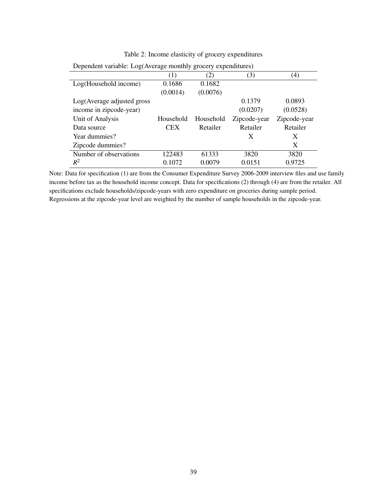| Dependent variable. Log(Average monthly grocery expenditures) |            |           |              |              |  |
|---------------------------------------------------------------|------------|-----------|--------------|--------------|--|
|                                                               | (1)        | (2)       | (3)          | (4)          |  |
| Log(Household income)                                         | 0.1686     | 0.1682    |              |              |  |
|                                                               | (0.0014)   | (0.0076)  |              |              |  |
| Log(Average adjusted gross                                    |            |           | 0.1379       | 0.0893       |  |
| income in zipcode-year)                                       |            |           | (0.0207)     | (0.0528)     |  |
| Unit of Analysis                                              | Household  | Household | Zipcode-year | Zipcode-year |  |
| Data source                                                   | <b>CEX</b> | Retailer  | Retailer     | Retailer     |  |
| Year dummies?                                                 |            |           | X            | X            |  |
| Zipcode dummies?                                              |            |           |              | X            |  |
| Number of observations                                        | 122483     | 61333     | 3820         | 3820         |  |
| $R^2$                                                         | 0.1072     | 0.0079    | 0.0151       | 0.9725       |  |

Table 2: Income elasticity of grocery expenditures

Note: Data for specification (1) are from the Consumer Expenditure Survey 2006-2009 interview files and use family income before tax as the household income concept. Data for specifications (2) through (4) are from the retailer. All specifications exclude households/zipcode-years with zero expenditure on groceries during sample period. Regressions at the zipcode-year level are weighted by the number of sample households in the zipcode-year.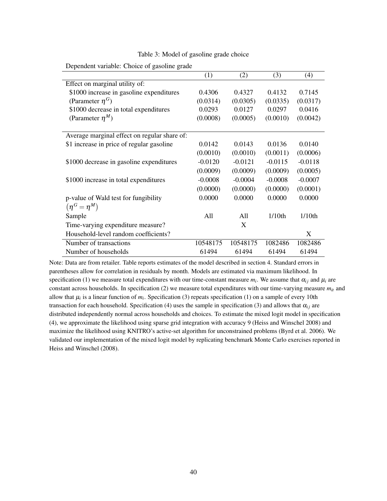|                                              | (1)       | (2)       | (3)       | (4)       |
|----------------------------------------------|-----------|-----------|-----------|-----------|
| Effect on marginal utility of:               |           |           |           |           |
| \$1000 increase in gasoline expenditures     | 0.4306    | 0.4327    | 0.4132    | 0.7145    |
| (Parameter $\eta$ <sup>G</sup> )             | (0.0314)  | (0.0305)  | (0.0335)  | (0.0317)  |
| \$1000 decrease in total expenditures        | 0.0293    | 0.0127    | 0.0297    | 0.0416    |
| (Parameter $\eta^M$ )                        | (0.0008)  | (0.0005)  | (0.0010)  | (0.0042)  |
| Average marginal effect on regular share of: |           |           |           |           |
| \$1 increase in price of regular gasoline    | 0.0142    | 0.0143    | 0.0136    | 0.0140    |
|                                              | (0.0010)  | (0.0010)  | (0.0011)  | (0.0006)  |
| \$1000 decrease in gasoline expenditures     | $-0.0120$ | $-0.0121$ | $-0.0115$ | $-0.0118$ |
|                                              | (0.0009)  | (0.0009)  | (0.0009)  | (0.0005)  |
| \$1000 increase in total expenditures        | $-0.0008$ | $-0.0004$ | $-0.0008$ | $-0.0007$ |
|                                              | (0.0000)  | (0.0000)  | (0.0000)  | (0.0001)  |
| p-value of Wald test for fungibility         | 0.0000    | 0.0000    | 0.0000    | 0.0000    |
| $(\eta^G = \eta^M)$                          |           |           |           |           |
| Sample                                       | All       | All       | $1/10$ th | $1/10$ th |
| Time-varying expenditure measure?            |           | X         |           |           |
| Household-level random coefficients?         |           |           |           | X         |
| Number of transactions                       | 10548175  | 10548175  | 1082486   | 1082486   |
| Number of households                         | 61494     | 61494     | 61494     | 61494     |

Table 3: Model of gasoline grade choice

Note: Data are from retailer. Table reports estimates of the model described in section 4. Standard errors in parentheses allow for correlation in residuals by month. Models are estimated via maximum likelihood. In specification (1) we measure total expenditures with our time-constant measure  $m_i$ . We assume that  $\alpha_{ij}$  and  $\mu_i$  are constant across households. In specification (2) we measure total expenditures with our time-varying measure  $m<sub>it</sub>$  and allow that  $\mu_i$  is a linear function of  $m_i$ . Specification (3) repeats specification (1) on a sample of every 10th transaction for each household. Specification (4) uses the sample in specification (3) and allows that  $\alpha_{ij}$  are distributed independently normal across households and choices. To estimate the mixed logit model in specification (4), we approximate the likelihood using sparse grid integration with accuracy 9 (Heiss and Winschel 2008) and maximize the likelihood using KNITRO's active-set algorithm for unconstrained problems (Byrd et al. 2006). We validated our implementation of the mixed logit model by replicating benchmark Monte Carlo exercises reported in Heiss and Winschel (2008).

Dependent variable: Choice of gasoline grade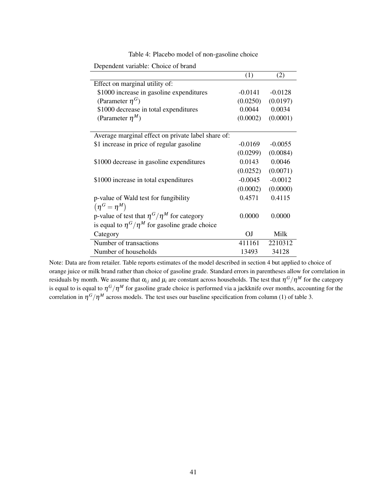|                                                       | (1)       | (2)       |
|-------------------------------------------------------|-----------|-----------|
| Effect on marginal utility of:                        |           |           |
| \$1000 increase in gasoline expenditures              | $-0.0141$ | $-0.0128$ |
| (Parameter $\eta^G$ )                                 | (0.0250)  | (0.0197)  |
| \$1000 decrease in total expenditures                 | 0.0044    | 0.0034    |
| (Parameter $\eta^M$ )                                 | (0.0002)  | (0.0001)  |
|                                                       |           |           |
| Average marginal effect on private label share of:    |           |           |
| \$1 increase in price of regular gasoline             | $-0.0169$ | $-0.0055$ |
|                                                       | (0.0299)  | (0.0084)  |
| \$1000 decrease in gasoline expenditures              | 0.0143    | 0.0046    |
|                                                       | (0.0252)  | (0.0071)  |
| \$1000 increase in total expenditures                 | $-0.0045$ | $-0.0012$ |
|                                                       | (0.0002)  | (0.0000)  |
| p-value of Wald test for fungibility                  | 0.4571    | 0.4115    |
| $(\eta^G = \eta^M)$                                   |           |           |
| p-value of test that $\eta^G/\eta^M$ for category     | 0.0000    | 0.0000    |
| is equal to $\eta^G/\eta^M$ for gasoline grade choice |           |           |
|                                                       |           |           |
| Category                                              | <b>OJ</b> | Milk      |
| Number of transactions                                | 411161    | 2210312   |
| Number of households                                  | 13493     | 34128     |

Table 4: Placebo model of non-gasoline choice

Dependent variable: Choice of brand

Note: Data are from retailer. Table reports estimates of the model described in section 4 but applied to choice of orange juice or milk brand rather than choice of gasoline grade. Standard errors in parentheses allow for correlation in residuals by month. We assume that  $\alpha_{ij}$  and  $\mu_i$  are constant across households. The test that  $\eta^G/\eta^M$  for the category is equal to is equal to  $\eta^G/\eta^M$  for gasoline grade choice is performed via a jackknife over months, accounting for the correlation in  $\eta^G/\eta^M$  across models. The test uses our baseline specification from column (1) of table 3.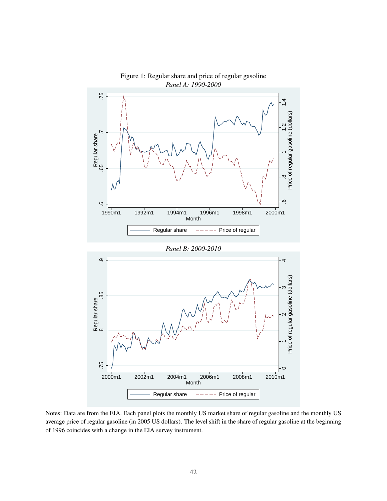

Figure 1: Regular share and price of regular gasoline *Panel A: 1990-2000*

Notes: Data are from the EIA. Each panel plots the monthly US market share of regular gasoline and the monthly US average price of regular gasoline (in 2005 US dollars). The level shift in the share of regular gasoline at the beginning of 1996 coincides with a change in the EIA survey instrument.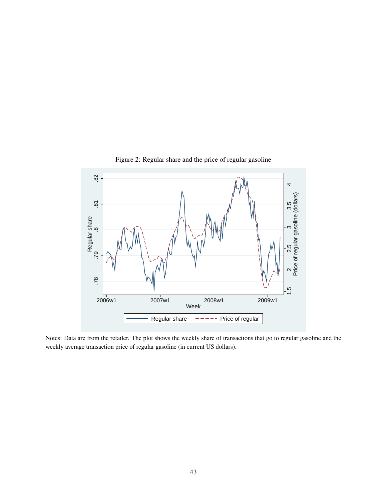

Figure 2: Regular share and the price of regular gasoline

Notes: Data are from the retailer. The plot shows the weekly share of transactions that go to regular gasoline and the weekly average transaction price of regular gasoline (in current US dollars).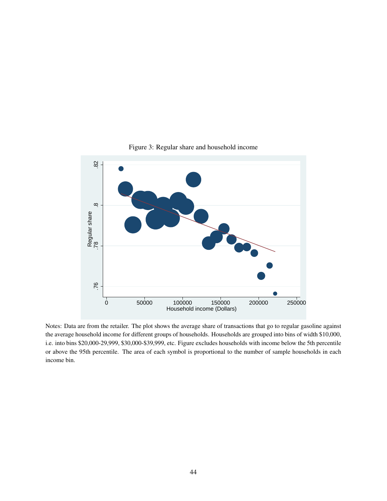

Figure 3: Regular share and household income

Notes: Data are from the retailer. The plot shows the average share of transactions that go to regular gasoline against the average household income for different groups of households. Households are grouped into bins of width \$10,000, i.e. into bins \$20,000-29,999, \$30,000-\$39,999, etc. Figure excludes households with income below the 5th percentile or above the 95th percentile. The area of each symbol is proportional to the number of sample households in each income bin.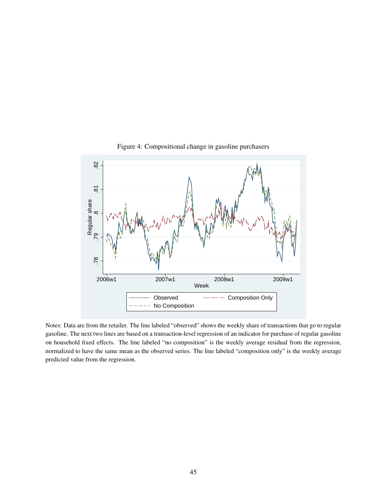

Figure 4: Compositional change in gasoline purchasers

Notes: Data are from the retailer. The line labeled "observed" shows the weekly share of transactions that go to regular gasoline. The next two lines are based on a transaction-level regression of an indicator for purchase of regular gasoline on household fixed effects. The line labeled "no composition" is the weekly average residual from the regression, normalized to have the same mean as the observed series. The line labeled "composition only" is the weekly average predicted value from the regression.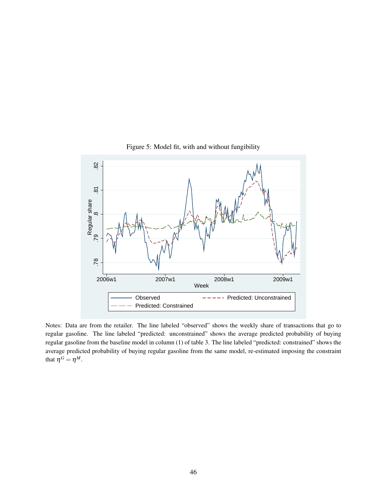

Figure 5: Model fit, with and without fungibility

Notes: Data are from the retailer. The line labeled "observed" shows the weekly share of transactions that go to regular gasoline. The line labeled "predicted: unconstrained" shows the average predicted probability of buying regular gasoline from the baseline model in column (1) of table 3. The line labeled "predicted: constrained" shows the average predicted probability of buying regular gasoline from the same model, re-estimated imposing the constraint that  $\eta^G = \eta^M$ .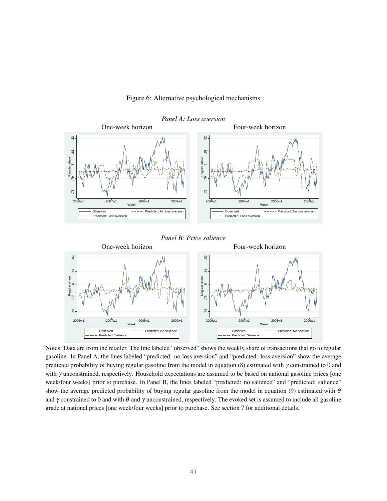

#### Figure 6: Alternative psychological mechanisms

#### *Panel B: Price salience*



Notes: Data are from the retailer. The line labeled "observed" shows the weekly share of transactions that go to regular gasoline. In Panel A, the lines labeled "predicted: no loss aversion" and "predicted: loss aversion" show the average predicted probability of buying regular gasoline from the model in equation (8) estimated with  $\gamma$  constrained to 0 and with  $\gamma$  unconstrained, respectively. Household expectations are assumed to be based on national gasoline prices [one week/four weeks] prior to purchase. In Panel B, the lines labeled "predicted: no salience" and "predicted: salience" show the average predicted probability of buying regular gasoline from the model in equation (9) estimated with  $\theta$ and  $\gamma$  constrained to 0 and with  $\theta$  and  $\gamma$  unconstrained, respectively. The evoked set is assumed to include all gasoline grade at national prices [one week/four weeks] prior to purchase. See section 7 for additional details.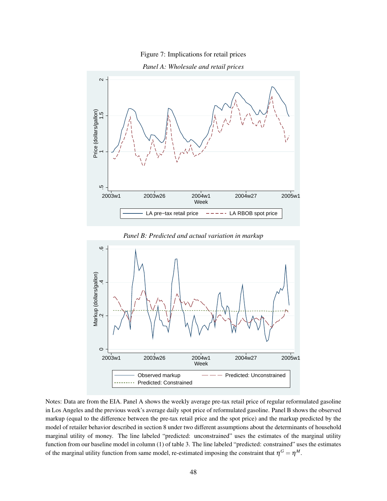#### Figure 7: Implications for retail prices







*Panel B: Predicted and actual variation in markup*

Notes: Data are from the EIA. Panel A shows the weekly average pre-tax retail price of regular reformulated gasoline in Los Angeles and the previous week's average daily spot price of reformulated gasoline. Panel B shows the observed markup (equal to the difference between the pre-tax retail price and the spot price) and the markup predicted by the model of retailer behavior described in section 8 under two different assumptions about the determinants of household marginal utility of money. The line labeled "predicted: unconstrained" uses the estimates of the marginal utility function from our baseline model in column (1) of table 3. The line labeled "predicted: constrained" uses the estimates of the marginal utility function from same model, re-estimated imposing the constraint that  $\eta^G = \eta^M$ .